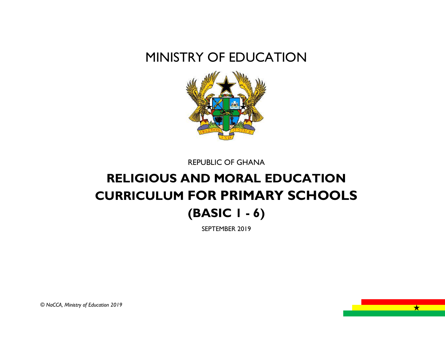# MINISTRY OF EDUCATION



REPUBLIC OF GHANA

# **RELIGIOUS AND MORAL EDUCATION CURRICULUM FOR PRIMARY SCHOOLS (BASIC 1 - 6)**

SEPTEMBER 2019

 $\overline{\phantom{a}}$   $\overline{\phantom{a}}$   $\overline{\phantom{a}}$   $\overline{\phantom{a}}$   $\overline{\phantom{a}}$   $\overline{\phantom{a}}$   $\overline{\phantom{a}}$   $\overline{\phantom{a}}$   $\overline{\phantom{a}}$   $\overline{\phantom{a}}$   $\overline{\phantom{a}}$   $\overline{\phantom{a}}$   $\overline{\phantom{a}}$   $\overline{\phantom{a}}$   $\overline{\phantom{a}}$   $\overline{\phantom{a}}$   $\overline{\phantom{a}}$   $\overline{\phantom{a}}$   $\overline{\$ 

*© NaCCA, Ministry of Education 2019*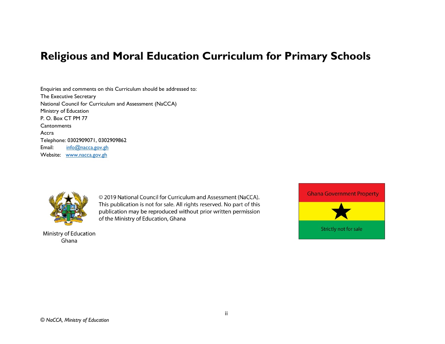# **Religious and Moral Education Curriculum for Primary Schools**

Enquiries and comments on this Curriculum should be addressed to: The Executive Secretary National Council for Curriculum and Assessment (NaCCA) Ministry of Education P. O. Box CT PM 77 **Cantonments** Accra Telephone: 0302909071, 0302909862 Email: [info@nacca.gov.gh](mailto:info@nacca.gov.gh) Website: [www.nacca.gov.gh](http://www.nacca.gov.gh/)



Ministry of Education Ghana

© 2019 National Council for Curriculum and Assessment (NaCCA). This publication is not for sale. All rights reserved. No part of this publication may be reproduced without prior written permission of the Ministry of Education, Ghana

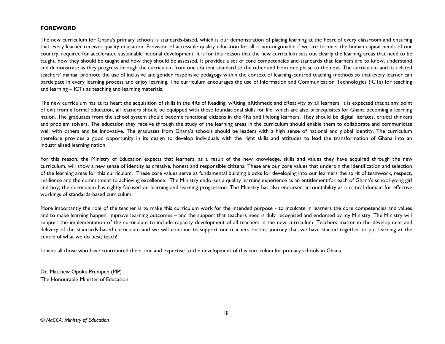#### **FOREWORD**

The new curriculum for Ghana's primary schools is standards-based, which is our demonstration of placing learning at the heart of every classroom and ensuring that every learner receives quality education. Provision of accessible quality education for all is non-negotiable if we are to meet the human capital needs of our country, required for accelerated sustainable national development. It is for this reason that the new curriculum sets out clearly the learning areas that need to be taught, how they should be taught and how they should be assessed. It provides a set of core competencies and standards that learners are to know, understand and demonstrate as they progress through the curriculum from one content standard to the other and from one phase to the next. The curriculum and its related teachers' manual promote the use of inclusive and gender responsive pedagogy within the context of learning-centred teaching methods so that every learner can participate in every learning process and enjoy learning. The curriculum encourages the use of Information and Communication Technologies (ICTs) for teaching and learning – ICTs as teaching and learning materials.

The new curriculum has at its heart the acquisition of skills in the 4Rs of Reading, wRiting, aRithmetic and cReativity by all learners. It is expected that at any point of exit from a formal education, all learners should be equipped with these foundational skills for life, which are also prerequisites for Ghana becoming a learning nation. The graduates from the school system should become functional citizens in the 4Rs and lifelong learners. They should be digital literates, critical thinkers and problem solvers. The education they receive through the study of the learning areas in the curriculum should enable them to collaborate and communicate well with others and be innovative. The graduates from Ghana's schools should be leaders with a high sense of national and global identity. The curriculum therefore provides a good opportunity in its design to develop individuals with the right skills and attitudes to lead the transformation of Ghana into an industrialised learning nation.

For this reason, the Ministry of Education expects that learners, as a result of the new knowledge, skills and values they have acquired through the new curriculum, will show a new sense of identity as creative, honest and responsible citizens. These are our core values that underpin the identification and selection of the learning areas for this curriculum. These core values serve as fundamental building blocks for developing into our learners the spirit of teamwork, respect, resilience and the commitment to achieving excellence. The Ministry endorses a quality learning experience as an entitlement for each of Ghana's school-going girl and boy; the curriculum has rightly focused on learning and learning progression. The Ministry has also endorsed accountability as a critical domain for effective workings of standards-based curriculum.

More importantly the role of the teacher is to make this curriculum work for the intended purpose - to inculcate in learners the core competencies and values and to make learning happen; improve learning outcomes – and the support that teachers need is duly recognised and endorsed by my Ministry. The Ministry will support the implementation of the curriculum to include capacity development of all teachers in the new curriculum. Teachers matter in the development and delivery of the standards-based curriculum and we will continue to support our teachers on this journey that we have started together to put learning at the centre of what we do best; teach!

I thank all those who have contributed their time and expertise to the development of this curriculum for primary schools in Ghana.

Dr. Matthew Opoku Prempeh (MP) The Honourable Minister of Education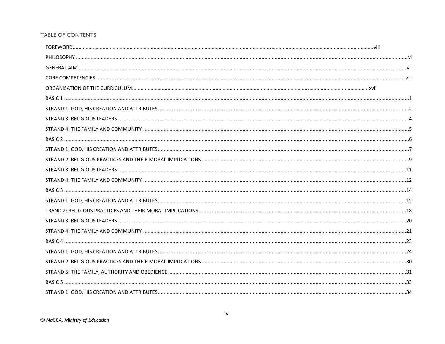#### TABLE OF CONTENTS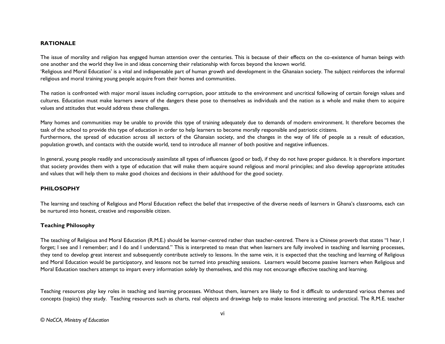#### <span id="page-5-0"></span>**RATIONALE**

The issue of morality and religion has engaged human attention over the centuries. This is because of their effects on the co-existence of human beings with one another and the world they live in and ideas concerning their relationship with forces beyond the known world.

'Religious and Moral Education' is a vital and indispensable part of human growth and development in the Ghanaian society. The subject reinforces the informal religious and moral training young people acquire from their homes and communities.

The nation is confronted with major moral issues including corruption, poor attitude to the environment and uncritical following of certain foreign values and cultures. Education must make learners aware of the dangers these pose to themselves as individuals and the nation as a whole and make them to acquire values and attitudes that would address these challenges.

Many homes and communities may be unable to provide this type of training adequately due to demands of modern environment. It therefore becomes the task of the school to provide this type of education in order to help learners to become morally responsible and patriotic citizens. Furthermore, the spread of education across all sectors of the Ghanaian society, and the changes in the way of life of people as a result of education, population growth, and contacts with the outside world, tend to introduce all manner of both positive and negative influences.

In general, young people readily and unconsciously assimilate all types of influences (good or bad), if they do not have proper guidance. It is therefore important that society provides them with a type of education that will make them acquire sound religious and moral principles; and also develop appropriate attitudes and values that will help them to make good choices and decisions in their adulthood for the good society.

#### <span id="page-5-1"></span>**PHILOSOPHY**

The learning and teaching of Religious and Moral Education reflect the belief that irrespective of the diverse needs of learners in Ghana's classrooms, each can be nurtured into honest, creative and responsible citizen.

#### **Teaching Philosophy**

The teaching of Religious and Moral Education (R.M.E.) should be learner-centred rather than teacher-centred. There is a Chinese proverb that states "I hear, I forget; I see and I remember; and I do and I understand." This is interpreted to mean that when learners are fully involved in teaching and learning processes, they tend to develop great interest and subsequently contribute actively to lessons. In the same vein, it is expected that the teaching and learning of Religious and Moral Education would be participatory, and lessons not be turned into preaching sessions. Learners would become passive learners when Religious and Moral Education teachers attempt to impart every information solely by themselves, and this may not encourage effective teaching and learning.

Teaching resources play key roles in teaching and learning processes. Without them, learners are likely to find it difficult to understand various themes and concepts (topics) they study. Teaching resources such as charts, real objects and drawings help to make lessons interesting and practical. The R.M.E. teacher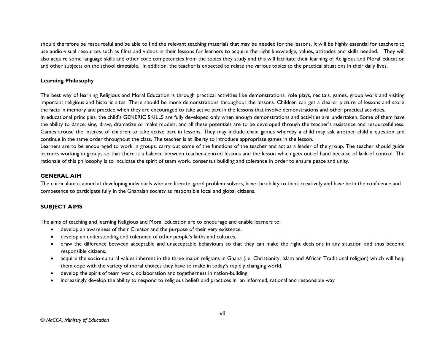should therefore be resourceful and be able to find the relevant teaching materials that may be needed for the lessons. It will be highly essential for teachers to use audio-visual resources such as films and videos in their lessons for learners to acquire the right knowledge, values, attitudes and skills needed. They will also acquire some language skills and other core competencies from the topics they study and this will facilitate their learning of Religious and Moral Education and other subjects on the school timetable. In addition, the teacher is expected to relate the various topics to the practical situations in their daily lives.

#### **Learning Philosophy**

The best way of learning Religious and Moral Education is through practical activities like demonstrations, role plays, recitals, games, group work and visiting important religious and historic sites. There should be more demonstrations throughout the lessons. Children can get a clearer picture of lessons and store the facts in memory and practice when they are encouraged to take active part in the lessons that involve demonstrations and other practical activities. In educational principles, the child's GENERIC SKILLS are fully developed only when enough demonstrations and activities are undertaken. Some of them have the ability to dance, sing, draw, dramatize or make models, and all these potentials are to be developed through the teacher's assistance and resourcefulness. Games arouse the interest of children to take active part in lessons. They may include chain games whereby a child may ask another child a question and continue in the same order throughout the class. The teacher is at liberty to introduce appropriate games in the lesson.

Learners are to be encouraged to work in groups, carry out some of the functions of the teacher and act as a leader of the group. The teacher should guide learners working in groups so that there is a balance between teacher-centred lessons and the lesson which gets out of hand because of lack of control. The rationale of this philosophy is to inculcate the spirit of team work, consensus building and tolerance in order to ensure peace and unity.

#### <span id="page-6-0"></span>**GENERAL AIM**

The curriculum is aimed at developing individuals who are literate, good problem solvers, have the ability to think creatively and have both the confidence and competence to participate fully in the Ghanaian society as responsible local and global citizens.

#### **SUBJECT AIMS**

The aims of teaching and learning Religious and Moral Education are to encourage and enable learners to:

- develop an awareness of their Creator and the purpose of their very existence.
- develop an understanding and tolerance of other people's faiths and cultures.
- draw the difference between acceptable and unacceptable behaviours so that they can make the right decisions in any situation and thus become responsible citizens.
- acquire the socio-cultural values inherent in the three major religions in Ghana (i.e. Christianity, Islam and African Traditional religion) which will help them cope with the variety of moral choices they have to make in today's rapidly changing world.
- develop the spirit of team work, collaboration and togetherness in nation-building
- increasingly develop the ability to respond to religious beliefs and practices in an informed, rational and responsible way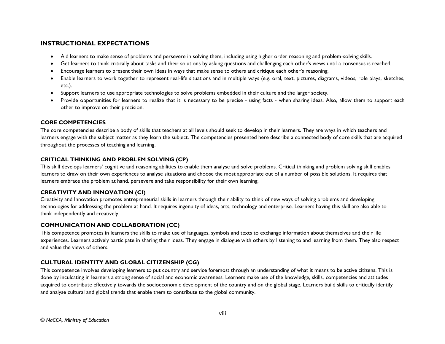#### **INSTRUCTIONAL EXPECTATIONS**

- Aid learners to make sense of problems and persevere in solving them, including using higher order reasoning and problem-solving skills.
- Get learners to think critically about tasks and their solutions by asking questions and challenging each other's views until a consensus is reached.
- Encourage learners to present their own ideas in ways that make sense to others and critique each other's reasoning.
- Enable learners to work together to represent real-life situations and in multiple ways (e.g. oral, text, pictures, diagrams, videos, role plays, sketches, etc.).
- Support learners to use appropriate technologies to solve problems embedded in their culture and the larger society.
- Provide opportunities for learners to realize that it is necessary to be precise using facts when sharing ideas. Also, allow them to support each other to improve on their precision.

#### <span id="page-7-0"></span>**CORE COMPETENCIES**

The core competencies describe a body of skills that teachers at all levels should seek to develop in their learners. They are ways in which teachers and learners engage with the subject matter as they learn the subject. The competencies presented here describe a connected body of core skills that are acquired throughout the processes of teaching and learning.

#### **CRITICAL THINKING AND PROBLEM SOLVING (CP)**

This skill develops learners' cognitive and reasoning abilities to enable them analyse and solve problems. Critical thinking and problem solving skill enables learners to draw on their own experiences to analyse situations and choose the most appropriate out of a number of possible solutions. It requires that learners embrace the problem at hand, persevere and take responsibility for their own learning.

#### **CREATIVITY AND INNOVATION (CI)**

Creativity and Innovation promotes entrepreneurial skills in learners through their ability to think of new ways of solving problems and developing technologies for addressing the problem at hand. It requires ingenuity of ideas, arts, technology and enterprise. Learners having this skill are also able to think independently and creatively.

#### **COMMUNICATION AND COLLABORATION (CC)**

This competence promotes in learners the skills to make use of languages, symbols and texts to exchange information about themselves and their life experiences. Learners actively participate in sharing their ideas. They engage in dialogue with others by listening to and learning from them. They also respect and value the views of others.

#### **CULTURAL IDENTITY AND GLOBAL CITIZENSHIP (CG)**

This competence involves developing learners to put country and service foremost through an understanding of what it means to be active citizens. This is done by inculcating in learners a strong sense of social and economic awareness. Learners make use of the knowledge, skills, competencies and attitudes acquired to contribute effectively towards the socioeconomic development of the country and on the global stage. Learners build skills to critically identify and analyse cultural and global trends that enable them to contribute to the global community.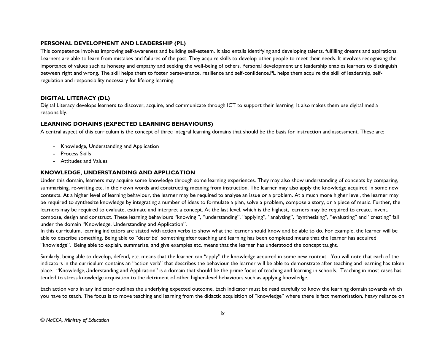#### **PERSONAL DEVELOPMENT AND LEADERSHIP (PL)**

This competence involves improving self-awareness and building self-esteem. It also entails identifying and developing talents, fulfilling dreams and aspirations. Learners are able to learn from mistakes and failures of the past. They acquire skills to develop other people to meet their needs. It involves recognising the importance of values such as honesty and empathy and seeking the well-being of others. Personal development and leadership enables learners to distinguish between right and wrong. The skill helps them to foster perseverance, resilience and self-confidence.PL helps them acquire the skill of leadership, selfregulation and responsibility necessary for lifelong learning.

#### **DIGITAL LITERACY (DL)**

Digital Literacy develops learners to discover, acquire, and communicate through ICT to support their learning. It also makes them use digital media responsibly.

#### **LEARNING DOMAINS (EXPECTED LEARNING BEHAVIOURS)**

A central aspect of this curriculum is the concept of three integral learning domains that should be the basis for instruction and assessment. These are:

- Knowledge, Understanding and Application
- Process Skills
- Attitudes and Values

#### **KNOWLEDGE, UNDERSTANDING AND APPLICATION**

Under this domain, learners may acquire some knowledge through some learning experiences. They may also show understanding of concepts by comparing, summarising, re-writing etc. in their own words and constructing meaning from instruction. The learner may also apply the knowledge acquired in some new contexts. At a higher level of learning behaviour, the learner may be required to analyse an issue or a problem. At a much more higher level, the learner may be required to synthesize knowledge by integrating a number of ideas to formulate a plan, solve a problem, compose a story, or a piece of music. Further, the learners may be required to evaluate, estimate and interpret a concept. At the last level, which is the highest, learners may be required to create, invent, compose, design and construct. These learning behaviours "knowing ", "understanding", "applying", "analysing", "synthesising", "evaluating" and "creating" fall under the domain "Knowledge, Understanding and Application".

In this curriculum, learning indicators are stated with action verbs to show what the learner should know and be able to do. For example, the learner will be able to describe something. Being able to "describe" something after teaching and learning has been completed means that the learner has acquired "knowledge". Being able to explain, summarise, and give examples etc. means that the learner has understood the concept taught.

Similarly, being able to develop, defend, etc. means that the learner can "apply" the knowledge acquired in some new context. You will note that each of the indicators in the curriculum contains an "action verb" that describes the behaviour the learner will be able to demonstrate after teaching and learning has taken place. "Knowledge,Understanding and Application" is a domain that should be the prime focus of teaching and learning in schools. Teaching in most cases has tended to stress knowledge acquisition to the detriment of other higher-level behaviours such as applying knowledge.

Each action verb in any indicator outlines the underlying expected outcome. Each indicator must be read carefully to know the learning domain towards which you have to teach. The focus is to move teaching and learning from the didactic acquisition of "knowledge" where there is fact memorisation, heavy reliance on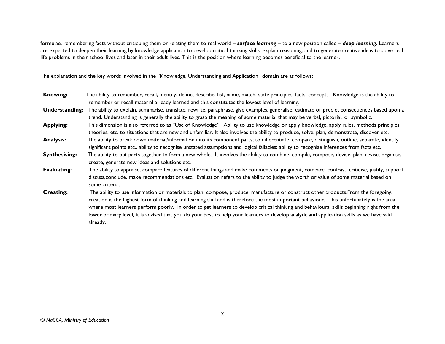formulae, remembering facts without critiquing them or relating them to real world – *surface learning –* to a new position called – *deep learning*. Learners are expected to deepen their learning by knowledge application to develop critical thinking skills, explain reasoning, and to generate creative ideas to solve real life problems in their school lives and later in their adult lives. This is the position where learning becomes beneficial to the learner.

The explanation and the key words involved in the "Knowledge, Understanding and Application" domain are as follows:

| <b>Knowing:</b>      | The ability to remember, recall, identify, define, describe, list, name, match, state principles, facts, concepts. Knowledge is the ability to<br>remember or recall material already learned and this constitutes the lowest level of learning.                                                                                                                                                                                                                                                                                                                                       |
|----------------------|----------------------------------------------------------------------------------------------------------------------------------------------------------------------------------------------------------------------------------------------------------------------------------------------------------------------------------------------------------------------------------------------------------------------------------------------------------------------------------------------------------------------------------------------------------------------------------------|
| Understanding:       | The ability to explain, summarise, translate, rewrite, paraphrase, give examples, generalise, estimate or predict consequences based upon a<br>trend. Understanding is generally the ability to grasp the meaning of some material that may be verbal, pictorial, or symbolic.                                                                                                                                                                                                                                                                                                         |
| <b>Applying:</b>     | This dimension is also referred to as "Use of Knowledge". Ability to use knowledge or apply knowledge, apply rules, methods principles,<br>theories, etc. to situations that are new and unfamiliar. It also involves the ability to produce, solve, plan, demonstrate, discover etc.                                                                                                                                                                                                                                                                                                  |
| <b>Analysis:</b>     | The ability to break down material/information into its component parts; to differentiate, compare, distinguish, outline, separate, identify<br>significant points etc., ability to recognise unstated assumptions and logical fallacies; ability to recognise inferences from facts etc.                                                                                                                                                                                                                                                                                              |
| <b>Synthesising:</b> | The ability to put parts together to form a new whole. It involves the ability to combine, compile, compose, devise, plan, revise, organise,<br>create, generate new ideas and solutions etc.                                                                                                                                                                                                                                                                                                                                                                                          |
| <b>Evaluating:</b>   | The ability to appraise, compare features of different things and make comments or judgment, compare, contrast, criticise, justify, support,<br>discuss, conclude, make recommendations etc. Evaluation refers to the ability to judge the worth or value of some material based on<br>some criteria.                                                                                                                                                                                                                                                                                  |
| <b>Creating:</b>     | The ability to use information or materials to plan, compose, produce, manufacture or construct other products. From the foregoing,<br>creation is the highest form of thinking and learning skill and is therefore the most important behaviour. This unfortunately is the area<br>where most learners perform poorly. In order to get learners to develop critical thinking and behavioural skills beginning right from the<br>lower primary level, it is advised that you do your best to help your learners to develop analytic and application skills as we have said<br>already. |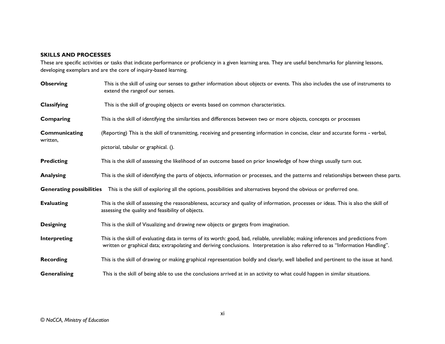#### **SKILLS AND PROCESSES**

These are specific activities or tasks that indicate performance or proficiency in a given learning area. They are useful benchmarks for planning lessons, developing exemplars and are the core of inquiry-based learning.

| <b>Observing</b>          | This is the skill of using our senses to gather information about objects or events. This also includes the use of instruments to<br>extend the range of our senses.                                                                                                    |
|---------------------------|-------------------------------------------------------------------------------------------------------------------------------------------------------------------------------------------------------------------------------------------------------------------------|
| Classifying               | This is the skill of grouping objects or events based on common characteristics.                                                                                                                                                                                        |
| Comparing                 | This is the skill of identifying the similarities and differences between two or more objects, concepts or processes                                                                                                                                                    |
| Communicating<br>written, | (Reporting) This is the skill of transmitting, receiving and presenting information in concise, clear and accurate forms - verbal,                                                                                                                                      |
|                           | pictorial, tabular or graphical. ().                                                                                                                                                                                                                                    |
| <b>Predicting</b>         | This is the skill of assessing the likelihood of an outcome based on prior knowledge of how things usually turn out.                                                                                                                                                    |
| <b>Analysing</b>          | This is the skill of identifying the parts of objects, information or processes, and the patterns and relationships between these parts.                                                                                                                                |
|                           | Generating possibilities This is the skill of exploring all the options, possibilities and alternatives beyond the obvious or preferred one.                                                                                                                            |
| <b>Evaluating</b>         | This is the skill of assessing the reasonableness, accuracy and quality of information, processes or ideas. This is also the skill of<br>assessing the quality and feasibility of objects.                                                                              |
| <b>Designing</b>          | This is the skill of Visualizing and drawing new objects or gargets from imagination.                                                                                                                                                                                   |
| Interpreting              | This is the skill of evaluating data in terms of its worth: good, bad, reliable, unreliable; making inferences and predictions from<br>written or graphical data; extrapolating and deriving conclusions. Interpretation is also referred to as "Information Handling". |
| <b>Recording</b>          | This is the skill of drawing or making graphical representation boldly and clearly, well labelled and pertinent to the issue at hand.                                                                                                                                   |
| Generalising              | This is the skill of being able to use the conclusions arrived at in an activity to what could happen in similar situations.                                                                                                                                            |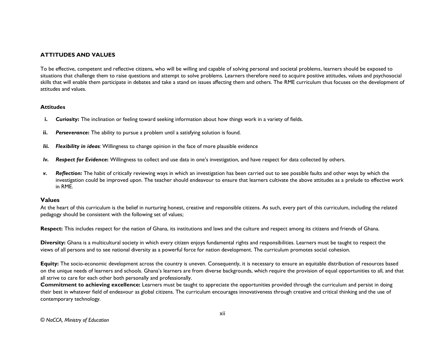#### **ATTITUDES AND VALUES**

To be effective, competent and reflective citizens, who will be willing and capable of solving personal and societal problems, learners should be exposed to situations that challenge them to raise questions and attempt to solve problems. Learners therefore need to acquire positive attitudes, values and psychosocial skills that will enable them participate in debates and take a stand on issues affecting them and others. The RME curriculum thus focuses on the development of attitudes and values.

#### **Attitudes**

- **i.** *Curiosity***:** The inclination or feeling toward seeking information about how things work in a variety of fields.
- **ii. Perseverance:** The ability to pursue a problem until a satisfying solution is found.
- *Iii. Flexibility in ideas:* Willingness to change opinion in the face of more plausible evidence
- *Iv. Respect for Evidence***:** Willingness to collect and use data in one's investigation, and have respect for data collected by others.
- *v. Reflection:* The habit of critically reviewing ways in which an investigation has been carried out to see possible faults and other ways by which the investigation could be improved upon. The teacher should endeavour to ensure that learners cultivate the above attitudes as a prelude to effective work in RME.

#### **Values**

At the heart of this curriculum is the belief in nurturing honest, creative and responsible citizens. As such, every part of this curriculum, including the related pedagogy should be consistent with the following set of values;

**Respect:** This includes respect for the nation of Ghana, its institutions and laws and the culture and respect among its citizens and friends of Ghana.

**Diversity:** Ghana is a multicultural society in which every citizen enjoys fundamental rights and responsibilities. Learners must be taught to respect the views of all persons and to see national diversity as a powerful force for nation development. The curriculum promotes social cohesion.

**Equity:** The socio-economic development across the country is uneven. Consequently, it is necessary to ensure an equitable distribution of resources based on the unique needs of learners and schools. Ghana's learners are from diverse backgrounds, which require the provision of equal opportunities to all, and that all strive to care for each other both personally and professionally.

**Commitment to achieving excellence:** Learners must be taught to appreciate the opportunities provided through the curriculum and persist in doing their best in whatever field of endeavour as global citizens. The curriculum encourages innovativeness through creative and critical thinking and the use of contemporary technology.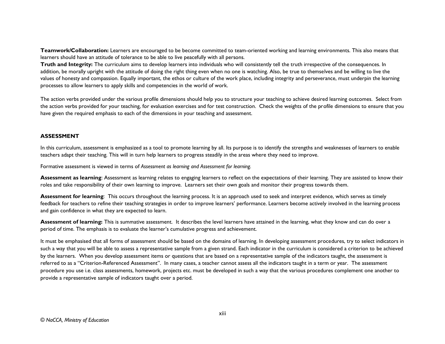**Teamwork/Collaboration:** Learners are encouraged to be become committed to team-oriented working and learning environments. This also means that learners should have an attitude of tolerance to be able to live peacefully with all persons.

Truth and Integrity: The curriculum aims to develop learners into individuals who will consistently tell the truth irrespective of the consequences. In addition, be morally upright with the attitude of doing the right thing even when no one is watching. Also, be true to themselves and be willing to live the values of honesty and compassion. Equally important, the ethos or culture of the work place, including integrity and perseverance, must underpin the learning processes to allow learners to apply skills and competencies in the world of work.

The action verbs provided under the various profile dimensions should help you to structure your teaching to achieve desired learning outcomes. Select from the action verbs provided for your teaching, for evaluation exercises and for test construction. Check the weights of the profile dimensions to ensure that you have given the required emphasis to each of the dimensions in your teaching and assessment.

#### **ASSESSMENT**

In this curriculum, assessment is emphasized as a tool to promote learning by all. Its purpose is to identify the strengths and weaknesses of learners to enable teachers adapt their teaching. This will in turn help learners to progress steadily in the areas where they need to improve.

Formative assessment is viewed in terms of *Assessment as learning and Assessment for learning.* 

**Assessment as learning**: Assessment as learning relates to engaging learners to reflect on the expectations of their learning. They are assisted to know their roles and take responsibility of their own learning to improve. Learners set their own goals and monitor their progress towards them.

**Assessment for learning**: This occurs throughout the learning process. It is an approach used to seek and interpret evidence, which serves as timely feedback for teachers to refine their teaching strategies in order to improve learners' performance. Learners become actively involved in the learning process and gain confidence in what they are expected to learn.

Assessment of learning: This is summative assessment. It describes the level learners have attained in the learning, what they know and can do over a period of time. The emphasis is to evaluate the learner's cumulative progress and achievement.

It must be emphasised that all forms of assessment should be based on the domains of learning. In developing assessment procedures, try to select indicators in such a way that you will be able to assess a representative sample from a given strand. Each indicator in the curriculum is considered a criterion to be achieved by the learners. When you develop assessment items or questions that are based on a representative sample of the indicators taught, the assessment is referred to as a "Criterion-Referenced Assessment". In many cases, a teacher cannot assess all the indicators taught in a term or year. The assessment procedure you use i.e. class assessments, homework, projects etc. must be developed in such a way that the various procedures complement one another to provide a representative sample of indicators taught over a period.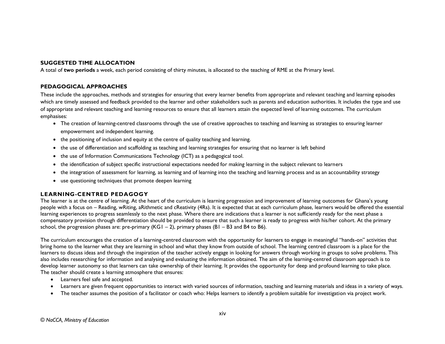#### **SUGGESTED TIME ALLOCATION**

A total of **two periods** a week, each period consisting of thirty minutes, is allocated to the teaching of RME at the Primary level.

#### **PEDAGOGICAL APPROACHES**

These include the approaches, methods and strategies for ensuring that every learner benefits from appropriate and relevant teaching and learning episodes which are timely assessed and feedback provided to the learner and other stakeholders such as parents and education authorities. It includes the type and use of appropriate and relevant teaching and learning resources to ensure that all learners attain the expected level of learning outcomes. The curriculum emphasises:

- The creation of learning-centred classrooms through the use of creative approaches to teaching and learning as strategies to ensuring learner empowerment and independent learning.
- the positioning of inclusion and equity at the centre of quality teaching and learning.
- the use of differentiation and scaffolding as teaching and learning strategies for ensuring that no learner is left behind
- the use of Information Communications Technology (ICT) as a pedagogical tool.
- the identification of subject specific instructional expectations needed for making learning in the subject relevant to learners
- the integration of assessment for learning, as learning and of learning into the teaching and learning process and as an accountability strategy
- use questioning techniques that promote deepen learning

#### **LEARNING-CENTRED PEDAGOGY**

The learner is at the centre of learning. At the heart of the curriculum is learning progression and improvement of learning outcomes for Ghana's young people with a focus on – Reading, wRiting, aRithmetic and cReativity (4Rs). It is expected that at each curriculum phase, learners would be offered the essential learning experiences to progress seamlessly to the next phase. Where there are indications that a learner is not sufficiently ready for the next phase a compensatory provision through differentiation should be provided to ensure that such a learner is ready to progress with his/her cohort. At the primary school, the progression phases are: pre-primary  $(KG1 - 2)$ , primary phases  $(B1 - B3$  and B4 to B6).

The curriculum encourages the creation of a learning-centred classroom with the opportunity for learners to engage in meaningful "hands-on" activities that bring home to the learner what they are learning in school and what they know from outside of school. The learning centred classroom is a place for the learners to discuss ideas and through the inspiration of the teacher actively engage in looking for answers through working in groups to solve problems. This also includes researching for information and analysing and evaluating the information obtained. The aim of the learning-centred classroom approach is to develop learner autonomy so that learners can take ownership of their learning. It provides the opportunity for deep and profound learning to take place. The teacher should create a learning atmosphere that ensures:

- Learners feel safe and accepted.
- Learners are given frequent opportunities to interact with varied sources of information, teaching and learning materials and ideas in a variety of ways.
- The teacher assumes the position of a facilitator or coach who: Helps learners to identify a problem suitable for investigation via project work.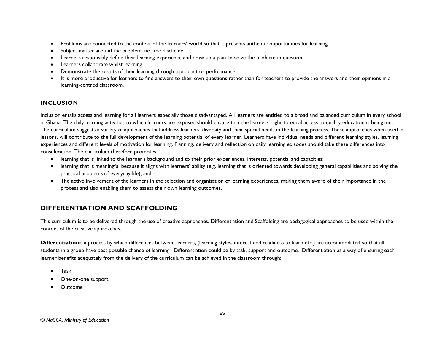- Problems are connected to the context of the learners' world so that it presents authentic opportunities for learning.
- Subject matter around the problem, not the discipline.
- Learners responsibly define their learning experience and draw up a plan to solve the problem in question.
- Learners collaborate whilst learning.
- Demonstrate the results of their learning through a product or performance.
- It is more productive for learners to find answers to their own questions rather than for teachers to provide the answers and their opinions in a learning-centred classroom.

#### **INCLUSION**

Inclusion entails access and learning for all learners especially those disadvantaged. All learners are entitled to a broad and balanced curriculum in every school in Ghana. The daily learning activities to which learners are exposed should ensure that the learners' right to equal access to quality education is being met. The curriculum suggests a variety of approaches that address learners' diversity and their special needs in the learning process. These approaches when used in lessons, will contribute to the full development of the learning potential of every learner. Learners have individual needs and different learning styles, learning experiences and different levels of motivation for learning. Planning, delivery and reflection on daily learning episodes should take these differences into consideration. The curriculum therefore promotes:

- learning that is linked to the learner's background and to their prior experiences, interests, potential and capacities;
- learning that is meaningful because it aligns with learners' ability (e.g. learning that is oriented towards developing general capabilities and solving the practical problems of everyday life); and
- The active involvement of the learners in the selection and organisation of learning experiences, making them aware of their importance in the process and also enabling them to assess their own learning outcomes.

# **DIFFERENTIATION AND SCAFFOLDING**

This curriculum is to be delivered through the use of creative approaches. Differentiation and Scaffolding are pedagogical approaches to be used within the context of the creative approaches.

**Differentiation**is a process by which differences between learners, (learning styles, interest and readiness to learn etc.) are accommodated so that all students in a group have best possible chance of learning. Differentiation could be by task, support and outcome. Differentiation as a way of ensuring each learner benefits adequately from the delivery of the curriculum can be achieved in the classroom through:

- Task
- One-on-one support
- Outcome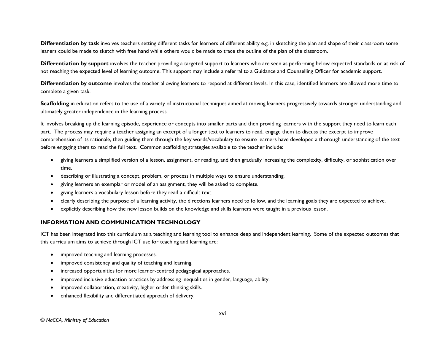**Differentiation by task** involves teachers setting different tasks for learners of different ability e.g. in sketching the plan and shape of their classroom some leaners could be made to sketch with free hand while others would be made to trace the outline of the plan of the classroom.

**Differentiation by support** involves the teacher providing a targeted support to learners who are seen as performing below expected standards or at risk of not reaching the expected level of learning outcome. This support may include a referral to a Guidance and Counselling Officer for academic support.

**Differentiation by outcome** involves the teacher allowing learners to respond at different levels. In this case, identified learners are allowed more time to complete a given task.

**Scaffolding** in education refers to the use of a variety of instructional techniques aimed at moving learners progressively towards stronger understanding and ultimately greater independence in the learning process.

It involves breaking up the learning episode, experience or concepts into smaller parts and then providing learners with the support they need to learn each part. The process may require a teacher assigning an excerpt of a longer text to learners to read, engage them to discuss the excerpt to improve comprehension of its rationale, then guiding them through the key words/vocabulary to ensure learners have developed a thorough understanding of the text before engaging them to read the full text. Common scaffolding strategies available to the teacher include:

- giving learners a simplified version of a lesson, assignment, or reading, and then gradually increasing the complexity, difficulty, or sophistication over time.
- describing or illustrating a concept, problem, or process in multiple ways to ensure understanding.
- giving learners an exemplar or model of an assignment, they will be asked to complete.
- giving learners a vocabulary lesson before they read a difficult text.
- clearly describing the purpose of a learning activity, the directions learners need to follow, and the learning goals they are expected to achieve.
- explicitly describing how the new lesson builds on the knowledge and skills learners were taught in a previous lesson.

#### **INFORMATION AND COMMUNICATION TECHNOLOGY**

ICT has been integrated into this curriculum as a teaching and learning tool to enhance deep and independent learning. Some of the expected outcomes that this curriculum aims to achieve through ICT use for teaching and learning are:

- improved teaching and learning processes.
- improved consistency and quality of teaching and learning.
- increased opportunities for more learner-centred pedagogical approaches.
- improved inclusive education practices by addressing inequalities in gender, language, ability.
- improved collaboration, creativity, higher order thinking skills.
- enhanced flexibility and differentiated approach of delivery.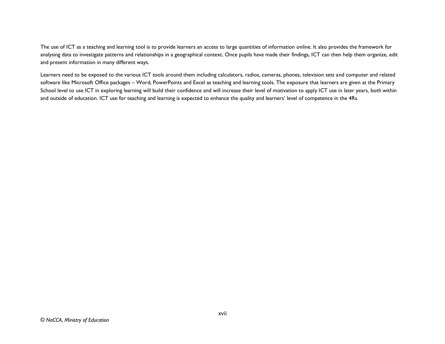The use of ICT as a teaching and learning tool is to provide learners an access to large quantities of information online. It also provides the framework for analysing data to investigate patterns and relationships in a geographical context. Once pupils have made their findings, ICT can then help them organize, edit and present information in many different ways.

<span id="page-16-0"></span>Learners need to be exposed to the various ICT tools around them including calculators, radios, cameras, phones, television sets and computer and related software like Microsoft Office packages – Word, PowerPoints and Excel as teaching and learning tools. The exposure that learners are given at the Primary School level to use ICT in exploring learning will build their confidence and will increase their level of motivation to apply ICT use in later years, both within and outside of education. ICT use for teaching and learning is expected to enhance the quality and learners' level of competence in the 4Rs.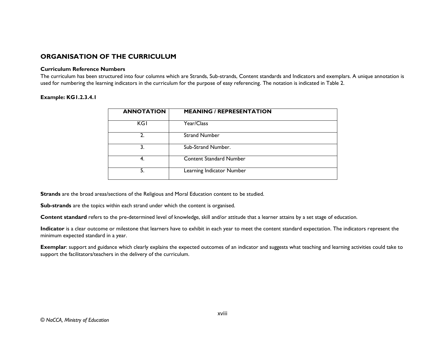### **ORGANISATION OF THE CURRICULUM**

#### **Curriculum Reference Numbers**

The curriculum has been structured into four columns which are Strands, Sub-strands, Content standards and Indicators and exemplars. A unique annotation is used for numbering the learning indicators in the curriculum for the purpose of easy referencing. The notation is indicated in Table 2.

#### **Example: KG1.2.3.4.1**

| <b>ANNOTATION</b> | <b>MEANING / REPRESENTATION</b> |
|-------------------|---------------------------------|
| <b>KGI</b>        | Year/Class                      |
| 2.                | <b>Strand Number</b>            |
| 3.                | Sub-Strand Number.              |
| 4.                | <b>Content Standard Number</b>  |
| 5.                | Learning Indicator Number       |

**Strands** are the broad areas/sections of the Religious and Moral Education content to be studied.

**Sub-strands** are the topics within each strand under which the content is organised.

Content standard refers to the pre-determined level of knowledge, skill and/or attitude that a learner attains by a set stage of education.

**Indicator** is a clear outcome or milestone that learners have to exhibit in each year to meet the content standard expectation. The indicators represent the minimum expected standard in a year.

**Exemplar**: support and guidance which clearly explains the expected outcomes of an indicator and suggests what teaching and learning activities could take to support the facilitators/teachers in the delivery of the curriculum.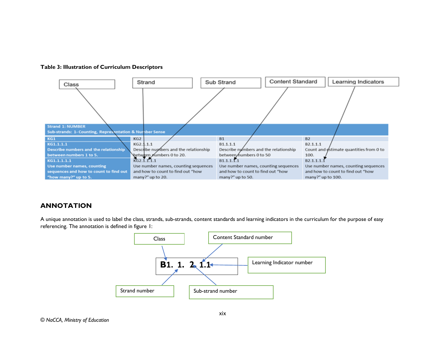



### **ANNOTATION**

A unique annotation is used to label the class, strands, sub-strands, content standards and learning indicators in the curriculum for the purpose of easy referencing. The annotation is defined in figure 1:

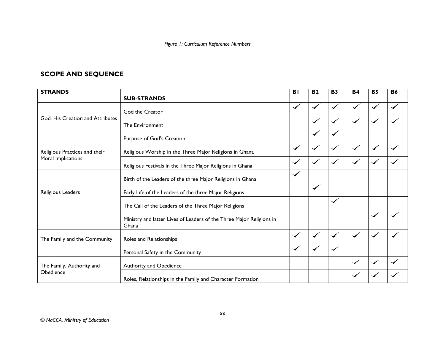*Figure 1: Curriculum Reference Numbers*

# **SCOPE AND SEQUENCE**

| <b>STRANDS</b>                   |                                                                               | <b>BI</b>            | $\overline{B2}$      | <b>B3</b>    | <b>B4</b>    | <b>B5</b>            | <b>B6</b> |
|----------------------------------|-------------------------------------------------------------------------------|----------------------|----------------------|--------------|--------------|----------------------|-----------|
|                                  | <b>SUB-STRANDS</b>                                                            |                      |                      |              |              |                      |           |
|                                  | God the Creator                                                               | $\checkmark$         |                      |              |              |                      |           |
| God, His Creation and Attributes | The Environment                                                               |                      | $\blacktriangledown$ | $\checkmark$ | $\checkmark$ |                      |           |
|                                  | Purpose of God's Creation                                                     |                      |                      |              |              |                      |           |
| Religious Practices and their    | Religious Worship in the Three Major Religions in Ghana                       | $\checkmark$         | $\checkmark$         | $\checkmark$ |              | $\checkmark$         |           |
| Moral Implications               | Religious Festivals in the Three Major Religions in Ghana                     | $\blacktriangledown$ | $\checkmark$         |              |              |                      |           |
|                                  | Birth of the Leaders of the three Major Religions in Ghana                    |                      |                      |              |              |                      |           |
| Religious Leaders                | Early Life of the Leaders of the three Major Religions                        |                      | $\checkmark$         |              |              |                      |           |
|                                  | The Call of the Leaders of the Three Major Religions                          |                      |                      | $\checkmark$ |              |                      |           |
|                                  | Ministry and latter Lives of Leaders of the Three Major Religions in<br>Ghana |                      |                      |              |              | $\checkmark$         |           |
| The Family and the Community     | Roles and Relationships                                                       | $\checkmark$         | $\checkmark$         | $\checkmark$ | $\checkmark$ | $\blacktriangledown$ |           |
|                                  | Personal Safety in the Community                                              | $\blacktriangledown$ | $\checkmark$         | ✓            |              |                      |           |
| The Family, Authority and        | Authority and Obedience                                                       |                      |                      |              | $\checkmark$ | ✓                    |           |
| Obedience                        | Roles, Relationships in the Family and Character Formation                    |                      |                      |              |              |                      |           |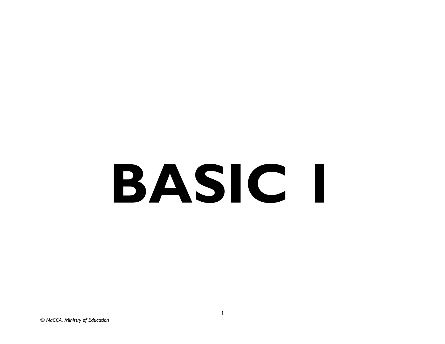# <span id="page-20-0"></span>**BASIC 1**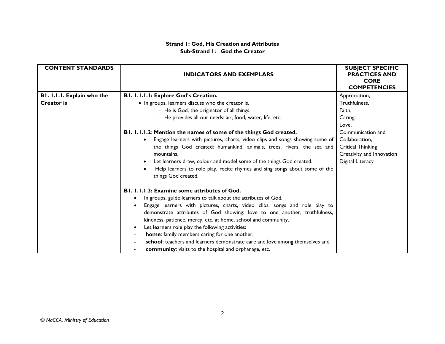#### **Strand 1: God, His Creation and Attributes Sub-Strand 1: God the Creator**

| <b>CONTENT STANDARDS</b>   | <b>INDICATORS AND EXEMPLARS</b>                                                                                                                                                                                           | <b>SUBJECT SPECIFIC</b><br><b>PRACTICES AND</b><br><b>CORE</b><br><b>COMPETENCIES</b> |
|----------------------------|---------------------------------------------------------------------------------------------------------------------------------------------------------------------------------------------------------------------------|---------------------------------------------------------------------------------------|
| BI. I.I.I. Explain who the | B1. I.I.I.I: Explore God's Creation.                                                                                                                                                                                      | Appreciation,                                                                         |
| <b>Creator</b> is          | • In groups, learners discuss who the creator is.                                                                                                                                                                         | Truthfulness,                                                                         |
|                            | - He is God, the originator of all things.                                                                                                                                                                                | Faith,                                                                                |
|                            | - He provides all our needs: air, food, water, life, etc.                                                                                                                                                                 | Caring,                                                                               |
|                            |                                                                                                                                                                                                                           | Love.                                                                                 |
|                            | B1. 1.1.1.2: Mention the names of some of the things God created.                                                                                                                                                         | Communication and                                                                     |
|                            | Engage learners with pictures, charts, video clips and songs showing some of                                                                                                                                              | Collaboration,                                                                        |
|                            | the things God created: humankind, animals, trees, rivers, the sea and                                                                                                                                                    | Critical Thinking                                                                     |
|                            | mountains.                                                                                                                                                                                                                | Creativity and Innovation                                                             |
|                            | Let learners draw, colour and model some of the things God created.                                                                                                                                                       | Digital Literacy                                                                      |
|                            | Help learners to role play, recite rhymes and sing songs about some of the<br>things God created.                                                                                                                         |                                                                                       |
|                            | <b>B1. 1.1.1.3: Examine some attributes of God.</b>                                                                                                                                                                       |                                                                                       |
|                            | In groups, guide learners to talk about the attributes of God.                                                                                                                                                            |                                                                                       |
|                            | Engage learners with pictures, charts, video clips, songs and role play to<br>demonstrate attributes of God showing: love to one another, truthfulness,<br>kindness, patience, mercy, etc. at home, school and community. |                                                                                       |
|                            | Let learners role play the following activities:                                                                                                                                                                          |                                                                                       |
|                            | home: family members caring for one another,                                                                                                                                                                              |                                                                                       |
|                            | school: teachers and learners demonstrate care and love among themselves and                                                                                                                                              |                                                                                       |
|                            | community: visits to the hospital and orphanage, etc.                                                                                                                                                                     |                                                                                       |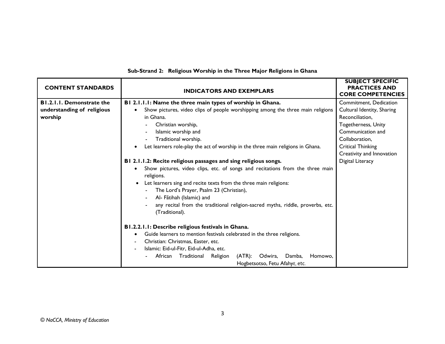| <b>CONTENT STANDARDS</b>   | <b>INDICATORS AND EXEMPLARS</b>                                                                  | <b>SUBJECT SPECIFIC</b><br><b>PRACTICES AND</b><br><b>CORE COMPETENCIES</b> |
|----------------------------|--------------------------------------------------------------------------------------------------|-----------------------------------------------------------------------------|
| B1.2.1.1. Demonstrate the  | B1 2.1.1.1: Name the three main types of worship in Ghana.                                       | Commitment, Dedication                                                      |
| understanding of religious | Show pictures, video clips of people worshipping among the three main religions                  | Cultural Identity, Sharing                                                  |
| worship                    | in Ghana.                                                                                        | Reconciliation,                                                             |
|                            | Christian worship,                                                                               | Togetherness, Unity                                                         |
|                            | Islamic worship and                                                                              | Communication and                                                           |
|                            | Traditional worship.                                                                             | Collaboration,                                                              |
|                            | Let learners role-play the act of worship in the three main religions in Ghana.                  | Critical Thinking                                                           |
|                            |                                                                                                  | Creativity and Innovation                                                   |
|                            | B1 2.1.1.2: Recite religious passages and sing religious songs.                                  | Digital Literacy                                                            |
|                            | Show pictures, video clips, etc. of songs and recitations from the three main<br>religions.      |                                                                             |
|                            | Let learners sing and recite texts from the three main religions:                                |                                                                             |
|                            | The Lord's Prayer, Psalm 23 (Christian),                                                         |                                                                             |
|                            | Al- Fãtihah (Islamic) and                                                                        |                                                                             |
|                            | any recital from the traditional religion-sacred myths, riddle, proverbs, etc.<br>(Traditional). |                                                                             |
|                            | B1.2.2.1.1: Describe religious festivals in Ghana.                                               |                                                                             |
|                            | Guide learners to mention festivals celebrated in the three religions.                           |                                                                             |
|                            | Christian: Christmas, Easter, etc.                                                               |                                                                             |
|                            | Islamic: Eid-ul-Fitr, Eid-ul-Adha, etc.                                                          |                                                                             |
|                            | African<br>Traditional Religion<br>$(ATR)$ :<br>Odwira, Damba,<br>Homowo,                        |                                                                             |
|                            | Hogbetsotso, Fetu Afahye, etc.                                                                   |                                                                             |

# **Sub-Strand 2: Religious Worship in the Three Major Religions in Ghana**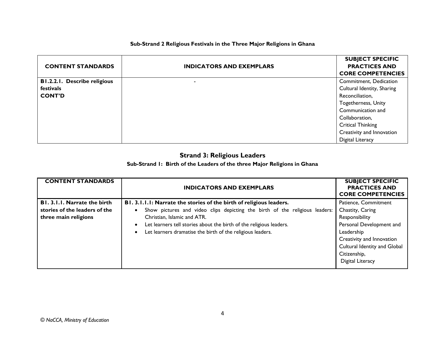#### **Sub-Strand 2 Religious Festivals in the Three Major Religions in Ghana**

|                                     |                                 | <b>SUBJECT SPECIFIC</b>    |
|-------------------------------------|---------------------------------|----------------------------|
| <b>CONTENT STANDARDS</b>            | <b>INDICATORS AND EXEMPLARS</b> | <b>PRACTICES AND</b>       |
|                                     |                                 | <b>CORE COMPETENCIES</b>   |
| <b>B1.2.2.1. Describe religious</b> |                                 | Commitment, Dedication     |
| festivals                           |                                 | Cultural Identity, Sharing |
| <b>CONT'D</b>                       |                                 | Reconciliation,            |
|                                     |                                 | <b>Togetherness, Unity</b> |
|                                     |                                 | Communication and          |
|                                     |                                 | Collaboration,             |
|                                     |                                 | <b>Critical Thinking</b>   |
|                                     |                                 | Creativity and Innovation  |
|                                     |                                 | Digital Literacy           |

# **Strand 3: Religious Leaders**

#### **Sub-Strand 1: Birth of the Leaders of the three Major Religions in Ghana**

| <b>CONTENT STANDARDS</b>                                                              | <b>INDICATORS AND EXEMPLARS</b>                                                                                                                                                                                                                                                                                        | <b>SUBJECT SPECIFIC</b><br><b>PRACTICES AND</b><br><b>CORE COMPETENCIES</b>                                                                                                                           |
|---------------------------------------------------------------------------------------|------------------------------------------------------------------------------------------------------------------------------------------------------------------------------------------------------------------------------------------------------------------------------------------------------------------------|-------------------------------------------------------------------------------------------------------------------------------------------------------------------------------------------------------|
| B1. 3.1.1. Narrate the birth<br>stories of the leaders of the<br>three main religions | B1. 3.1.1.1: Narrate the stories of the birth of religious leaders.<br>Show pictures and video clips depicting the birth of the religious leaders:<br>Christian, Islamic and ATR.<br>Let learners tell stories about the birth of the religious leaders.<br>Let learners dramatise the birth of the religious leaders. | Patience, Commitment<br>Chastity, Caring<br>Responsibility<br>Personal Development and<br>Leadership<br>Creativity and Innovation<br>Cultural Identity and Global<br>Citizenship,<br>Digital Literacy |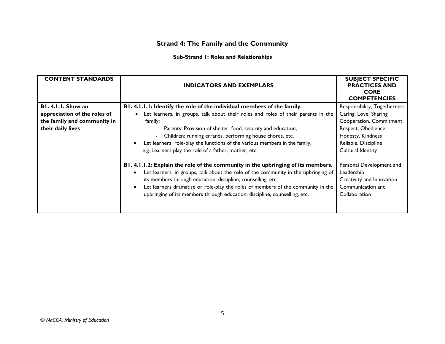# **Strand 4: The Family and the Community**

#### **Sub-Strand 1: Roles and Relationships**

| <b>CONTENT STANDARDS</b>                                                                                                         | <b>INDICATORS AND EXEMPLARS</b>                                                                                                                                                                                                                                                                                                                                                                                                                                                                                                                                                                                                                                                                                                                                                                                                                          | <b>SUBJECT SPECIFIC</b><br><b>PRACTICES AND</b><br><b>CORE</b><br><b>COMPETENCIES</b>                                                                                                                                                                                                 |
|----------------------------------------------------------------------------------------------------------------------------------|----------------------------------------------------------------------------------------------------------------------------------------------------------------------------------------------------------------------------------------------------------------------------------------------------------------------------------------------------------------------------------------------------------------------------------------------------------------------------------------------------------------------------------------------------------------------------------------------------------------------------------------------------------------------------------------------------------------------------------------------------------------------------------------------------------------------------------------------------------|---------------------------------------------------------------------------------------------------------------------------------------------------------------------------------------------------------------------------------------------------------------------------------------|
| BI. 4.1.1. Show an<br>appreciation of the roles of<br>the family and community in<br>their daily lives<br>$\bullet$<br>$\bullet$ | B1. 4.1.1.1: Identify the role of the individual members of the family.<br>Let learners, in groups, talk about their roles and roles of their parents in the<br>family:<br>- Parents: Provision of shelter, food, security and education,<br>Children: running errands, performing house chores, etc.<br>Let learners role-play the functions of the various members in the family,<br>e.g. Learners play the role of a father, mother, etc.<br>B1. 4.1.1.2: Explain the role of the community in the upbringing of its members.<br>Let learners, in groups, talk about the role of the community in the upbringing of<br>its members through education, discipline, counselling, etc.<br>Let learners dramatise or role-play the roles of members of the community in the<br>upbringing of its members through education, discipline, counselling, etc. | Responsibility, Togetherness<br>Caring, Love, Sharing<br>Cooperation, Commitment<br>Respect, Obedience<br>Honesty, Kindness<br>Reliable, Discipline<br>Cultural Identity<br>Personal Development and<br>Leadership<br>Creativity and Innovation<br>Communication and<br>Collaboration |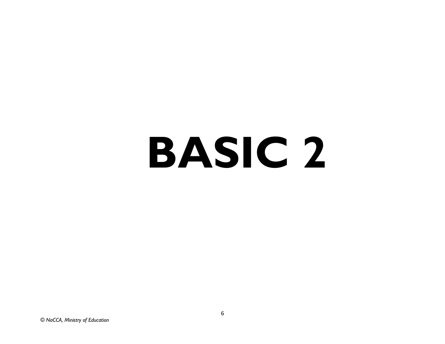# **BASIC 2**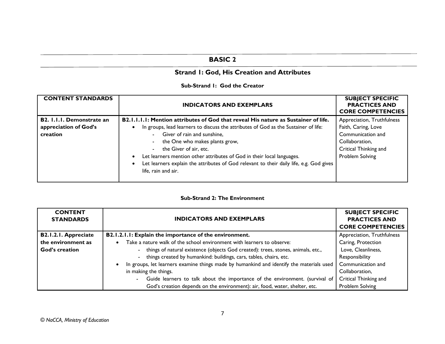# **BASIC 2**

# **Strand 1: God, His Creation and Attributes**

#### **Sub-Strand 1: God the Creator**

| <b>CONTENT STANDARDS</b>         | <b>INDICATORS AND EXEMPLARS</b>                                                         | <b>SUBJECT SPECIFIC</b><br><b>PRACTICES AND</b><br><b>CORE COMPETENCIES</b> |
|----------------------------------|-----------------------------------------------------------------------------------------|-----------------------------------------------------------------------------|
| <b>B2. I.I.I. Demonstrate an</b> | B2.1.1.1.1: Mention attributes of God that reveal His nature as Sustainer of life.      | Appreciation, Truthfulness                                                  |
| appreciation of God's            | In groups, lead learners to discuss the attributes of God as the Sustainer of life:     | Faith, Caring, Love                                                         |
| creation                         | - Giver of rain and sunshine,                                                           | Communication and                                                           |
|                                  | the One who makes plants grow,<br>$\sim$                                                | Collaboration,                                                              |
|                                  | - the Giver of air, etc.                                                                | Critical Thinking and                                                       |
|                                  | Let learners mention other attributes of God in their local languages.                  | Problem Solving                                                             |
|                                  | Let learners explain the attributes of God relevant to their daily life, e.g. God gives |                                                                             |
|                                  | life, rain and air.                                                                     |                                                                             |
|                                  |                                                                                         |                                                                             |

#### **Sub-Strand 2: The Environment**

| <b>CONTENT</b><br><b>STANDARDS</b> | <b>INDICATORS AND EXEMPLARS</b>                                                          | <b>SUBJECT SPECIFIC</b><br><b>PRACTICES AND</b><br><b>CORE COMPETENCIES</b> |
|------------------------------------|------------------------------------------------------------------------------------------|-----------------------------------------------------------------------------|
| B2.1.2.1. Appreciate               | B2.1.2.1.1: Explain the importance of the environment.                                   | Appreciation, Truthfulness                                                  |
| the environment as                 | Take a nature walk of the school environment with learners to observe:                   | Caring, Protection                                                          |
| God's creation                     | - things of natural existence (objects God created): trees, stones, animals, etc.,       | Love, Cleanliness,                                                          |
|                                    | - things created by humankind: buildings, cars, tables, chairs, etc.                     | Responsibility                                                              |
|                                    | In groups, let learners examine things made by humankind and identify the materials used | Communication and                                                           |
|                                    | in making the things.                                                                    | Collaboration,                                                              |
|                                    | Guide learners to talk about the importance of the environment. (survival of             | Critical Thinking and                                                       |
|                                    | God's creation depends on the environment): air, food, water, shelter, etc.              | Problem Solving                                                             |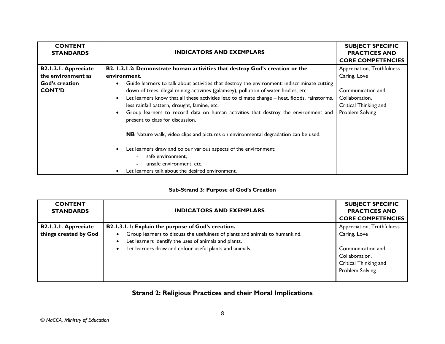| <b>CONTENT</b><br><b>STANDARDS</b>                                                          | <b>INDICATORS AND EXEMPLARS</b>                                                                                                                                                                                                                                                                                                                                                                                                                                                                                                                                                                                                                                                                                                                                                                                                 | <b>SUBJECT SPECIFIC</b><br><b>PRACTICES AND</b><br><b>CORE COMPETENCIES</b>                                                   |
|---------------------------------------------------------------------------------------------|---------------------------------------------------------------------------------------------------------------------------------------------------------------------------------------------------------------------------------------------------------------------------------------------------------------------------------------------------------------------------------------------------------------------------------------------------------------------------------------------------------------------------------------------------------------------------------------------------------------------------------------------------------------------------------------------------------------------------------------------------------------------------------------------------------------------------------|-------------------------------------------------------------------------------------------------------------------------------|
| <b>B2.1.2.1. Appreciate</b><br>the environment as<br><b>God's creation</b><br><b>CONT'D</b> | B2. 1.2.1.2: Demonstrate human activities that destroy God's creation or the<br>environment.<br>Guide learners to talk about activities that destroy the environment: indiscriminate cutting<br>down of trees, illegal mining activities (galamsey), pollution of water bodies, etc.<br>Let learners know that all these activities lead to climate change - heat, floods, rainstorms,<br>less rainfall pattern, drought, famine, etc.<br>Group learners to record data on human activities that destroy the environment and<br>present to class for discussion.<br>NB Nature walk, video clips and pictures on environmental degradation can be used.<br>Let learners draw and colour various aspects of the environment:<br>safe environment,<br>unsafe environment, etc.<br>Let learners talk about the desired environment. | Appreciation, Truthfulness<br>Caring, Love<br>Communication and<br>Collaboration,<br>Critical Thinking and<br>Problem Solving |

#### **Sub-Strand 3: Purpose of God's Creation**

| <b>CONTENT</b><br><b>STANDARDS</b>                   | <b>INDICATORS AND EXEMPLARS</b>                                                                                                                                                                                                                                                  | <b>SUBJECT SPECIFIC</b><br><b>PRACTICES AND</b><br><b>CORE COMPETENCIES</b>                                                   |
|------------------------------------------------------|----------------------------------------------------------------------------------------------------------------------------------------------------------------------------------------------------------------------------------------------------------------------------------|-------------------------------------------------------------------------------------------------------------------------------|
| <b>B2.1.3.1. Appreciate</b><br>things created by God | B2.1.3.1.1: Explain the purpose of God's creation.<br>Group learners to discuss the usefulness of plants and animals to humankind.<br>Let learners identify the uses of animals and plants.<br>$\bullet$<br>Let learners draw and colour useful plants and animals.<br>$\bullet$ | Appreciation, Truthfulness<br>Caring, Love<br>Communication and<br>Collaboration,<br>Critical Thinking and<br>Problem Solving |

# **Strand 2: Religious Practices and their Moral Implications**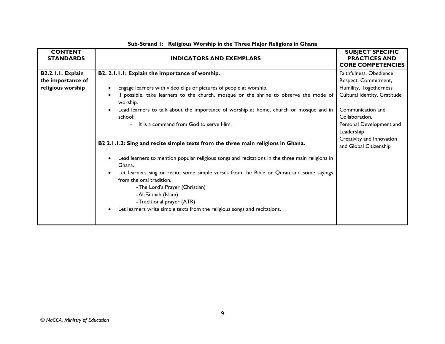| <b>STANDARDS</b>                                                                                                                                                                                                                                                                                                                                                                                                                                                                                                                                                                                                                                                                                                                                                                                                                                                                                                                                                                            | <b>PRACTICES AND</b>                                                                                                                                                                                                                              |
|---------------------------------------------------------------------------------------------------------------------------------------------------------------------------------------------------------------------------------------------------------------------------------------------------------------------------------------------------------------------------------------------------------------------------------------------------------------------------------------------------------------------------------------------------------------------------------------------------------------------------------------------------------------------------------------------------------------------------------------------------------------------------------------------------------------------------------------------------------------------------------------------------------------------------------------------------------------------------------------------|---------------------------------------------------------------------------------------------------------------------------------------------------------------------------------------------------------------------------------------------------|
| <b>INDICATORS AND EXEMPLARS</b>                                                                                                                                                                                                                                                                                                                                                                                                                                                                                                                                                                                                                                                                                                                                                                                                                                                                                                                                                             | <b>CORE COMPETENCIES</b>                                                                                                                                                                                                                          |
| B2. 2.1.1.1: Explain the importance of worship.<br>B2.2.1.1. Explain<br>the importance of<br>religious worship<br>Engage learners with video clips or pictures of people at worship.<br>If possible, take learners to the church, mosque or the shrine to observe the mode of<br>$\bullet$<br>worship.<br>Lead learners to talk about the importance of worship at home, church or mosque and in<br>$\bullet$<br>school:<br>- It is a command from God to serve Him.<br>B2 2.1.1.2: Sing and recite simple texts from the three main religions in Ghana.<br>Lead learners to mention popular religious songs and recitations in the three main religions in<br>$\bullet$<br>Ghana.<br>Let learners sing or recite some simple verses from the Bible or Quran and some sayings<br>$\bullet$<br>from the oral tradition.<br>- The Lord's Prayer (Christian)<br>- Al-Fãtihah (Islam)<br>-Traditional prayer (ATR)<br>Let learners write simple texts from the religious songs and recitations. | Faithfulness, Obedience<br>Respect, Commitment,<br>Humility, Togetherness<br>Cultural Identity, Gratitude<br>Communication and<br>Collaboration,<br>Personal Development and<br>Leadership<br>Creativity and Innovation<br>and Global Citizenship |

#### **Sub-Strand 1: Religious Worship in the Three Major Religions in Ghana**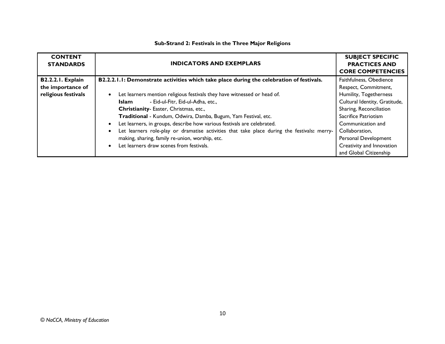| <b>CONTENT</b><br><b>STANDARDS</b> | <b>INDICATORS AND EXEMPLARS</b>                                                                          | <b>SUBJECT SPECIFIC</b><br><b>PRACTICES AND</b><br><b>CORE COMPETENCIES</b> |
|------------------------------------|----------------------------------------------------------------------------------------------------------|-----------------------------------------------------------------------------|
| <b>B2.2.2.1. Explain</b>           | B2.2.2.1.1: Demonstrate activities which take place during the celebration of festivals.                 | Faithfulness, Obedience                                                     |
| the importance of                  |                                                                                                          | Respect, Commitment,                                                        |
| religious festivals                | Let learners mention religious festivals they have witnessed or head of.<br>$\bullet$                    | Humility, Togetherness                                                      |
|                                    | - Eid-ul-Fitr, Eid-ul-Adha, etc.,<br>Islam                                                               | Cultural Identity, Gratitude,                                               |
|                                    | Christianity-Easter, Christmas, etc.,                                                                    | Sharing, Reconciliation                                                     |
|                                    | Traditional - Kundum, Odwira, Damba, Bugum, Yam Festival, etc.                                           | Sacrifice Patriotism                                                        |
|                                    | Let learners, in groups, describe how various festivals are celebrated.<br>$\bullet$                     | Communication and                                                           |
|                                    | Let learners role-play or dramatise activities that take place during the festivals: merry-<br>$\bullet$ | Collaboration,                                                              |
|                                    | making, sharing, family re-union, worship, etc.                                                          | Personal Development                                                        |
|                                    | Let learners draw scenes from festivals.<br>$\bullet$                                                    | Creativity and Innovation                                                   |
|                                    |                                                                                                          | and Global Citizenship                                                      |

#### **Sub-Strand 2: Festivals in the Three Major Religions**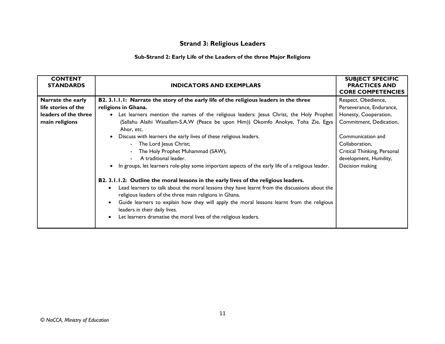# **Strand 3: Religious Leaders**

#### **Sub-Strand 2: Early Life of the Leaders of the three Major Religions**

| <b>CONTENT</b><br><b>STANDARDS</b> | <b>INDICATORS AND EXEMPLARS</b>                                                                                                                                                                                                                                                                                                                                                                                                                                                          | <b>SUBJECT SPECIFIC</b><br><b>PRACTICES AND</b><br><b>CORE COMPETENCIES</b> |
|------------------------------------|------------------------------------------------------------------------------------------------------------------------------------------------------------------------------------------------------------------------------------------------------------------------------------------------------------------------------------------------------------------------------------------------------------------------------------------------------------------------------------------|-----------------------------------------------------------------------------|
| Narrate the early                  | B2. 3.1.1.1: Narrate the story of the early life of the religious leaders in the three                                                                                                                                                                                                                                                                                                                                                                                                   | Respect, Obedience,                                                         |
| life stories of the                | religions in Ghana.                                                                                                                                                                                                                                                                                                                                                                                                                                                                      | Perseverance, Endurance,                                                    |
| leaders of the three               | Let learners mention the names of the religious leaders: Jesus Christ, the Holy Prophet                                                                                                                                                                                                                                                                                                                                                                                                  | Honesty, Cooperation,                                                       |
| main religions                     | (Sallahu Alaihi Wasallam-S.A.W (Peace be upon Him)) Okomfo Anokye, Toha Zie, Egya<br>Ahor, etc.                                                                                                                                                                                                                                                                                                                                                                                          | Commitment, Dedication,                                                     |
|                                    | Discuss with learners the early lives of these religious leaders.                                                                                                                                                                                                                                                                                                                                                                                                                        | Communication and                                                           |
|                                    | - The Lord Jesus Christ;                                                                                                                                                                                                                                                                                                                                                                                                                                                                 | Collaboration,                                                              |
|                                    | The Holy Prophet Muhammad (SAW),                                                                                                                                                                                                                                                                                                                                                                                                                                                         | Critical Thinking, Personal                                                 |
|                                    | A traditional leader.                                                                                                                                                                                                                                                                                                                                                                                                                                                                    | development, Humility,                                                      |
|                                    | • In groups, let learners role-play some important aspects of the early life of a religious leader.                                                                                                                                                                                                                                                                                                                                                                                      | Decision making                                                             |
|                                    | B2. 3.1.1.2: Outline the moral lessons in the early lives of the religious leaders.<br>Lead learners to talk about the moral lessons they have learnt from the discussions about the<br>$\bullet$<br>religious leaders of the three main religions in Ghana.<br>Guide learners to explain how they will apply the moral lessons learnt from the religious<br>$\bullet$<br>leaders in their daily lives.<br>Let learners dramatise the moral lives of the religious leaders.<br>$\bullet$ |                                                                             |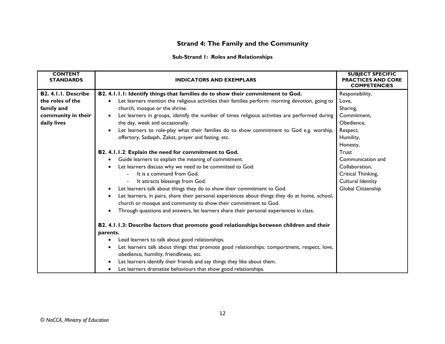# **Strand 4: The Family and the Community**

#### **Sub-Strand 1: Roles and Relationships**

| <b>CONTENT</b><br><b>STANDARDS</b> | <b>INDICATORS AND EXEMPLARS</b>                                                                                                                     | <b>SUBJECT SPECIFIC</b><br><b>PRACTICES AND CORE</b><br><b>COMPETENCIES</b> |
|------------------------------------|-----------------------------------------------------------------------------------------------------------------------------------------------------|-----------------------------------------------------------------------------|
| B2. 4.1.1. Describe                | B2. 4.1.1.1: Identify things that families do to show their commitment to God.                                                                      | Responsibility,                                                             |
| the roles of the                   | Let learners mention the religious activities their families perform: morning devotion, going to                                                    | Love.                                                                       |
| family and                         | church, mosque or the shrine.                                                                                                                       | Sharing,                                                                    |
| community in their                 | Let learners in groups, identify the number of times religious activities are performed during<br>$\bullet$                                         | Commitment,                                                                 |
| daily lives                        | the day, week and occasionally.                                                                                                                     | Obedience,                                                                  |
|                                    | Let learners to role-play what their families do to show commitment to God e.g. worship,<br>$\bullet$                                               | Respect,                                                                    |
|                                    | offertory, Sadaqah, Zakat, prayer and fasting, etc.                                                                                                 | Humility,                                                                   |
|                                    |                                                                                                                                                     | Honesty,                                                                    |
|                                    | B2. 4.1.1.2: Explain the need for commitment to God.                                                                                                | Trust                                                                       |
|                                    | Guide learners to explain the meaning of commitment.                                                                                                | Communication and                                                           |
|                                    | Let learners discuss why we need to be committed to God:                                                                                            | Collaboration,                                                              |
|                                    | It is a command from God.                                                                                                                           | Critical Thinking,                                                          |
|                                    | It attracts blessings from God.                                                                                                                     | Cultural Identity                                                           |
|                                    | Let learners talk about things they do to show their commitment to God.<br>$\bullet$                                                                | Global Citizenship                                                          |
|                                    | Let learners, in pairs, share their personal experiences about things they do at home, school,<br>$\bullet$                                         |                                                                             |
|                                    | church or mosque and community to show their commitment to God.                                                                                     |                                                                             |
|                                    | Through questions and answers, let learners share their personal experiences in class.<br>$\bullet$                                                 |                                                                             |
|                                    | B2. 4.1.1.3: Describe factors that promote good relationships between children and their<br>parents.                                                |                                                                             |
|                                    | Lead learners to talk about good relationships.<br>$\bullet$                                                                                        |                                                                             |
|                                    | Let learners talk about things that promote good relationships: comportment, respect, love,<br>$\bullet$<br>obedience, humility, friendliness, etc. |                                                                             |
|                                    | Let learners identify their friends and say things they like about them.<br>$\bullet$                                                               |                                                                             |
|                                    | Let learners dramatise behaviours that show good relationships.                                                                                     |                                                                             |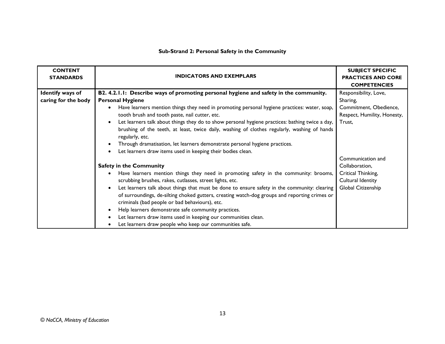## **Sub-Strand 2: Personal Safety in the Community**

| <b>CONTENT</b><br><b>STANDARDS</b> | <b>INDICATORS AND EXEMPLARS</b>                                                                                 | <b>SUBJECT SPECIFIC</b><br><b>PRACTICES AND CORE</b><br><b>COMPETENCIES</b> |
|------------------------------------|-----------------------------------------------------------------------------------------------------------------|-----------------------------------------------------------------------------|
| Identify ways of                   | B2. 4.2.1.1: Describe ways of promoting personal hygiene and safety in the community.                           | Responsibility, Love,                                                       |
| caring for the body                | <b>Personal Hygiene</b>                                                                                         | Sharing,                                                                    |
|                                    | Have learners mention things they need in promoting personal hygiene practices: water, soap,                    | Commitment, Obedience,                                                      |
|                                    | tooth brush and tooth paste, nail cutter, etc.                                                                  | Respect, Humility, Honesty,                                                 |
|                                    | Let learners talk about things they do to show personal hygiene practices: bathing twice a day,<br>$\bullet$    | Trust,                                                                      |
|                                    | brushing of the teeth, at least, twice daily, washing of clothes regularly, washing of hands<br>regularly, etc. |                                                                             |
|                                    | Through dramatisation, let learners demonstrate personal hygiene practices.<br>$\bullet$                        |                                                                             |
|                                    | Let learners draw items used in keeping their bodies clean.                                                     |                                                                             |
|                                    |                                                                                                                 | Communication and                                                           |
|                                    | <b>Safety in the Community</b>                                                                                  | Collaboration,                                                              |
|                                    | Have learners mention things they need in promoting safety in the community: brooms,                            | Critical Thinking,                                                          |
|                                    | scrubbing brushes, rakes, cutlasses, street lights, etc.                                                        | Cultural Identity                                                           |
|                                    | Let learners talk about things that must be done to ensure safety in the community: clearing<br>$\bullet$       | Global Citizenship                                                          |
|                                    | of surroundings, de-silting choked gutters, creating watch-dog groups and reporting crimes or                   |                                                                             |
|                                    | criminals (bad people or bad behaviours), etc.                                                                  |                                                                             |
|                                    | Help learners demonstrate safe community practices.<br>$\bullet$                                                |                                                                             |
|                                    | Let learners draw items used in keeping our communities clean.                                                  |                                                                             |
|                                    | Let learners draw people who keep our communities safe.                                                         |                                                                             |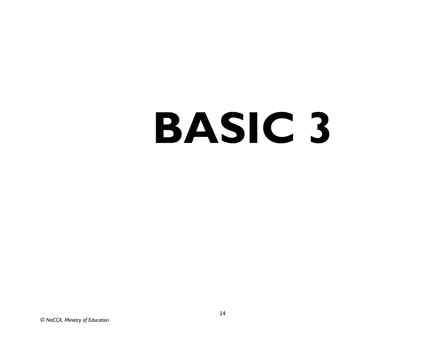# **BASIC 3**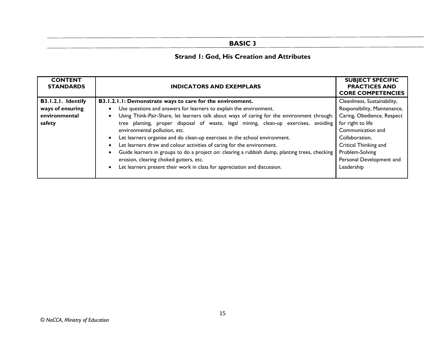# **BASIC 3**

# **Strand 1: God, His Creation and Attributes**

| <b>CONTENT</b><br><b>STANDARDS</b>                                | <b>INDICATORS AND EXEMPLARS</b>                                                                                                                                                                                                                                                                                                                                                                                                                                                                                | <b>SUBJECT SPECIFIC</b><br><b>PRACTICES AND</b><br><b>CORE COMPETENCIES</b>                                                                                                     |
|-------------------------------------------------------------------|----------------------------------------------------------------------------------------------------------------------------------------------------------------------------------------------------------------------------------------------------------------------------------------------------------------------------------------------------------------------------------------------------------------------------------------------------------------------------------------------------------------|---------------------------------------------------------------------------------------------------------------------------------------------------------------------------------|
| B3.1.2.1. Identify<br>ways of ensuring<br>environmental<br>safety | B3.1.2.1.1: Demonstrate ways to care for the environment.<br>Use questions and answers for learners to explain the environment.<br>Using Think-Pair-Share, let learners talk about ways of caring for the environment through:<br>tree planting, proper disposal of waste, legal mining, clean-up exercises, avoiding<br>environmental pollution, etc.<br>Let learners organise and do clean-up exercises in the school environment.<br>Let learners draw and colour activities of caring for the environment. | Cleanliness, Sustainability,<br>Responsibility, Maintenance,<br>Caring, Obedience, Respect<br>for right to life<br>Communication and<br>Collaboration,<br>Critical Thinking and |
|                                                                   | Guide learners in groups to do a project on: clearing a rubbish dump, planting trees, checking<br>erosion, clearing choked gutters, etc.<br>Let learners present their work in class for appreciation and discussion.                                                                                                                                                                                                                                                                                          | Problem-Solving<br>Personal Development and<br>Leadership                                                                                                                       |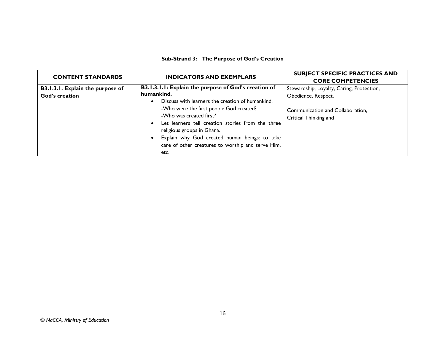#### **Sub-Strand 3: The Purpose of God's Creation**

| <b>CONTENT STANDARDS</b>                           | <b>INDICATORS AND EXEMPLARS</b>                                                                                                                                                                                                                                                                                                                                                                            | <b>SUBJECT SPECIFIC PRACTICES AND</b><br><b>CORE COMPETENCIES</b>                                                             |
|----------------------------------------------------|------------------------------------------------------------------------------------------------------------------------------------------------------------------------------------------------------------------------------------------------------------------------------------------------------------------------------------------------------------------------------------------------------------|-------------------------------------------------------------------------------------------------------------------------------|
| B3.1.3.1. Explain the purpose of<br>God's creation | B3.1.3.1.1: Explain the purpose of God's creation of<br>humankind.<br>Discuss with learners the creation of humankind.<br>-Who were the first people God created?<br>-Who was created first?<br>Let learners tell creation stories from the three<br>$\bullet$<br>religious groups in Ghana.<br>Explain why God created human beings: to take<br>care of other creatures to worship and serve Him,<br>etc. | Stewardship, Loyalty, Caring, Protection,<br>Obedience, Respect,<br>Communication and Collaboration,<br>Critical Thinking and |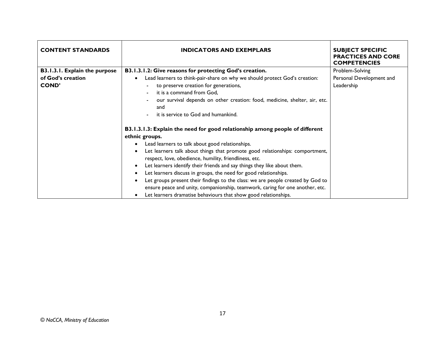| <b>CONTENT STANDARDS</b>                           | <b>INDICATORS AND EXEMPLARS</b>                                                                                                                                                                                                                                                                                                                                                                                                                                                                                                                                                                                                                                                    | <b>SUBJECT SPECIFIC</b><br><b>PRACTICES AND CORE</b><br><b>COMPETENCIES</b> |
|----------------------------------------------------|------------------------------------------------------------------------------------------------------------------------------------------------------------------------------------------------------------------------------------------------------------------------------------------------------------------------------------------------------------------------------------------------------------------------------------------------------------------------------------------------------------------------------------------------------------------------------------------------------------------------------------------------------------------------------------|-----------------------------------------------------------------------------|
| B3.1.3.1. Explain the purpose<br>of God's creation | B3.1.3.1.2: Give reasons for protecting God's creation.<br>Lead learners to think-pair-share on why we should protect God's creation:                                                                                                                                                                                                                                                                                                                                                                                                                                                                                                                                              | Problem-Solving<br>Personal Development and                                 |
| <b>COND'</b>                                       | to preserve creation for generations,<br>it is a command from God.<br>our survival depends on other creation: food, medicine, shelter, air, etc.<br>and<br>it is service to God and humankind.                                                                                                                                                                                                                                                                                                                                                                                                                                                                                     | Leadership                                                                  |
|                                                    | B3.1.3.1.3: Explain the need for good relationship among people of different<br>ethnic groups.<br>Lead learners to talk about good relationships.<br>Let learners talk about things that promote good relationships: comportment,<br>respect, love, obedience, humility, friendliness, etc.<br>Let learners identify their friends and say things they like about them.<br>Let learners discuss in groups, the need for good relationships.<br>Let groups present their findings to the class: we are people created by God to<br>ensure peace and unity, companionship, teamwork, caring for one another, etc.<br>Let learners dramatise behaviours that show good relationships. |                                                                             |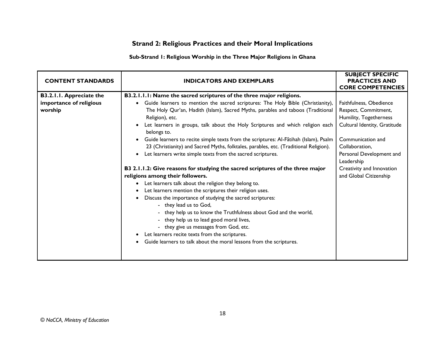# **Strand 2: Religious Practices and their Moral Implications**

#### **Sub-Strand 1: Religious Worship in the Three Major Religions in Ghana**

| <b>CONTENT STANDARDS</b>                                       | <b>INDICATORS AND EXEMPLARS</b>                                                                                                                                                                                                                                                                                                                                                                                                                                                                                                                                                                                                                                                                                                                                                                                                                                                                                                                                                                                                                                                                                                                                                                                                                              | <b>SUBJECT SPECIFIC</b><br><b>PRACTICES AND</b><br><b>CORE COMPETENCIES</b>                                                                                                                                                                       |
|----------------------------------------------------------------|--------------------------------------------------------------------------------------------------------------------------------------------------------------------------------------------------------------------------------------------------------------------------------------------------------------------------------------------------------------------------------------------------------------------------------------------------------------------------------------------------------------------------------------------------------------------------------------------------------------------------------------------------------------------------------------------------------------------------------------------------------------------------------------------------------------------------------------------------------------------------------------------------------------------------------------------------------------------------------------------------------------------------------------------------------------------------------------------------------------------------------------------------------------------------------------------------------------------------------------------------------------|---------------------------------------------------------------------------------------------------------------------------------------------------------------------------------------------------------------------------------------------------|
| B3.2.1.1. Appreciate the<br>importance of religious<br>worship | B3.2.1.1.1: Name the sacred scriptures of the three major religions.<br>Guide learners to mention the sacred scriptures: The Holy Bible (Christianity),<br>$\bullet$<br>The Holy Qur'an, Hadith (Islam), Sacred Myths, parables and taboos (Traditional<br>Religion), etc.<br>Let learners in groups, talk about the Holy Scriptures and which religion each<br>belongs to.<br>Guide learners to recite simple texts from the scriptures: Al-Fãtihah (Islam), Psalm<br>23 (Christianity) and Sacred Myths, folktales, parables, etc. (Traditional Religion).<br>Let learners write simple texts from the sacred scriptures.<br>B3 2.1.1.2: Give reasons for studying the sacred scriptures of the three major<br>religions among their followers.<br>Let learners talk about the religion they belong to.<br>$\bullet$<br>Let learners mention the scriptures their religion uses.<br>Discuss the importance of studying the sacred scriptures:<br>- they lead us to God,<br>- they help us to know the Truthfulness about God and the world,<br>- they help us to lead good moral lives,<br>- they give us messages from God, etc.<br>Let learners recite texts from the scriptures.<br>Guide learners to talk about the moral lessons from the scriptures. | Faithfulness, Obedience<br>Respect, Commitment,<br>Humility, Togetherness<br>Cultural Identity, Gratitude<br>Communication and<br>Collaboration,<br>Personal Development and<br>Leadership<br>Creativity and Innovation<br>and Global Citizenship |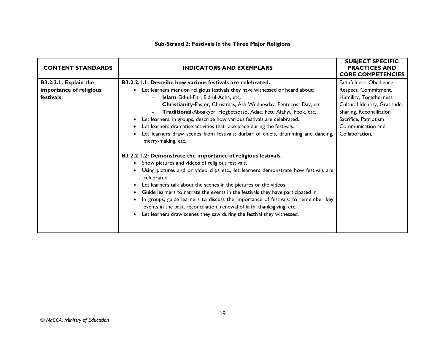#### **Sub-Strand 2: Festivals in the Three Major Religions**

| <b>CONTENT STANDARDS</b> | <b>INDICATORS AND EXEMPLARS</b>                                                                                                                               | <b>SUBJECT SPECIFIC</b><br><b>PRACTICES AND</b><br><b>CORE COMPETENCIES</b> |
|--------------------------|---------------------------------------------------------------------------------------------------------------------------------------------------------------|-----------------------------------------------------------------------------|
| B3.2.2.1. Explain the    | B3.2.2.1.1: Describe how various festivals are celebrated.                                                                                                    | Faithfulness, Obedience                                                     |
| importance of religious  | Let learners mention religious festivals they have witnessed or heard about:                                                                                  | Respect, Commitment,                                                        |
| festivals                | Islam-Eid-ul-Fitr, Eid-ul-Adha, etc.                                                                                                                          | Humility, Togetherness                                                      |
|                          | Christianity-Easter, Christmas, Ash Wednesday, Pentecost Day, etc.<br>$\blacksquare$                                                                          | Cultural Identity, Gratitude,                                               |
|                          | Traditional-Aboakyer, Hogbetsotso, Adae, Fetu Afahye, Feok, etc.                                                                                              | Sharing, Reconciliation                                                     |
|                          | Let learners, in groups, describe how various festivals are celebrated.                                                                                       | Sacrifice, Patriotism                                                       |
|                          | Let learners dramatise activities that take place during the festivals.                                                                                       | Communication and                                                           |
|                          | Let learners draw scenes from festivals: durbar of chiefs, drumming and dancing,<br>merry-making, etc.                                                        | Collaboration,                                                              |
|                          | B3 2.2.1.2: Demonstrate the importance of religious festivals.                                                                                                |                                                                             |
|                          | Show pictures and videos of religious festivals.                                                                                                              |                                                                             |
|                          | Using pictures and or video clips etc., let learners demonstrate how festivals are<br>celebrated.                                                             |                                                                             |
|                          | Let learners talk about the scenes in the pictures or the videos.                                                                                             |                                                                             |
|                          | Guide learners to narrate the events in the festivals they have participated in.                                                                              |                                                                             |
|                          | In groups, guide learners to discuss the importance of festivals: to remember key<br>events in the past, reconciliation, renewal of faith, thanksgiving, etc. |                                                                             |
|                          | Let learners draw scenes they saw during the festival they witnessed.                                                                                         |                                                                             |
|                          |                                                                                                                                                               |                                                                             |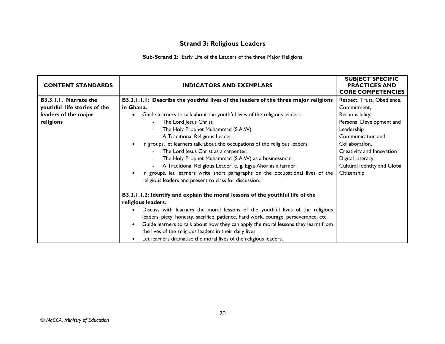# **Strand 3: Religious Leaders**

**Sub-Strand 2:** Early Life of the Leaders of the three Major Religions

| <b>CONTENT STANDARDS</b>     | <b>INDICATORS AND EXEMPLARS</b>                                                                 | <b>SUBJECT SPECIFIC</b><br><b>PRACTICES AND</b><br><b>CORE COMPETENCIES</b> |
|------------------------------|-------------------------------------------------------------------------------------------------|-----------------------------------------------------------------------------|
| B3.3.1.1. Narrate the        | B3.3.1.1.1: Describe the youthful lives of the leaders of the three major religions             | Respect, Trust, Obedience,                                                  |
| youthful life stories of the | in Ghana.                                                                                       | Commitment,                                                                 |
| leaders of the major         | Guide learners to talk about the youthful lives of the religious leaders:                       | Responsibility,                                                             |
| religions                    | The Lord Jesus Christ<br>$\blacksquare$                                                         | Personal Development and                                                    |
|                              | The Holy Prophet Muhammad (S.A.W)                                                               | Leadership                                                                  |
|                              | A Traditional Religious Leader                                                                  | Communication and                                                           |
|                              | In groups, let learners talk about the occupations of the religious leaders.<br>$\bullet$       | Collaboration,                                                              |
|                              | The Lord Jesus Christ as a carpenter,<br>$\blacksquare$                                         | Creativity and Innovation                                                   |
|                              | The Holy Prophet Muhammad (S.A.W) as a businessman                                              | Digital Literacy                                                            |
|                              | A Traditional Religious Leader, e. g. Egya Ahor as a farmer.                                    | Cultural Identity and Global                                                |
|                              | In groups, let learners write short paragraphs on the occupational lives of the                 | Citizenship                                                                 |
|                              | religious leaders and present to class for discussion.                                          |                                                                             |
|                              |                                                                                                 |                                                                             |
|                              | B3.3.1.1.2: Identify and explain the moral lessons of the youthful life of the                  |                                                                             |
|                              | religious leaders.                                                                              |                                                                             |
|                              | Discuss with learners the moral lessons of the youthful lives of the religious<br>$\bullet$     |                                                                             |
|                              | leaders: piety, honesty, sacrifice, patience, hard work, courage, perseverance, etc.            |                                                                             |
|                              | Guide learners to talk about how they can apply the moral lessons they learnt from<br>$\bullet$ |                                                                             |
|                              | the lives of the religious leaders in their daily lives.                                        |                                                                             |
|                              | Let learners dramatise the moral lives of the religious leaders.<br>$\bullet$                   |                                                                             |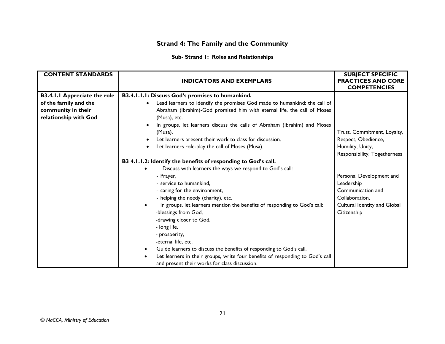# **Strand 4: The Family and the Community**

#### **Sub- Strand 1: Roles and Relationships**

| <b>CONTENT STANDARDS</b>            | <b>INDICATORS AND EXEMPLARS</b>                                                        | <b>SUBJECT SPECIFIC</b><br><b>PRACTICES AND CORE</b> |
|-------------------------------------|----------------------------------------------------------------------------------------|------------------------------------------------------|
|                                     |                                                                                        | <b>COMPETENCIES</b>                                  |
| <b>B3.4.1.1 Appreciate the role</b> | B3.4.1.1.1: Discuss God's promises to humankind.                                       |                                                      |
| of the family and the               | Lead learners to identify the promises God made to humankind: the call of<br>$\bullet$ |                                                      |
| community in their                  | Abraham (Ibrahim)-God promised him with eternal life, the call of Moses                |                                                      |
| relationship with God               | (Musa), etc.                                                                           |                                                      |
|                                     | In groups, let learners discuss the calls of Abraham (Ibrahim) and Moses               |                                                      |
|                                     | (Musa).                                                                                | Trust, Commitment, Loyalty,                          |
|                                     | Let learners present their work to class for discussion.                               | Respect, Obedience,                                  |
|                                     | Let learners role-play the call of Moses (Musa).                                       | Humility, Unity,                                     |
|                                     |                                                                                        | Responsibility, Togetherness                         |
|                                     | B3 4.1.1.2: Identify the benefits of responding to God's call.                         |                                                      |
|                                     | Discuss with learners the ways we respond to God's call:                               |                                                      |
|                                     | - Prayer,                                                                              | Personal Development and                             |
|                                     | - service to humankind,                                                                | Leadership                                           |
|                                     | - caring for the environment,                                                          | Communication and                                    |
|                                     | - helping the needy (charity), etc.                                                    | Collaboration,                                       |
|                                     | In groups, let learners mention the benefits of responding to God's call:              | Cultural Identity and Global                         |
|                                     | -blessings from God,                                                                   | Citizenship                                          |
|                                     | -drawing closer to God,                                                                |                                                      |
|                                     | - long life,                                                                           |                                                      |
|                                     | - prosperity,                                                                          |                                                      |
|                                     | -eternal life, etc.                                                                    |                                                      |
|                                     | Guide learners to discuss the benefits of responding to God's call.                    |                                                      |
|                                     | Let learners in their groups, write four benefits of responding to God's call          |                                                      |
|                                     | and present their works for class discussion.                                          |                                                      |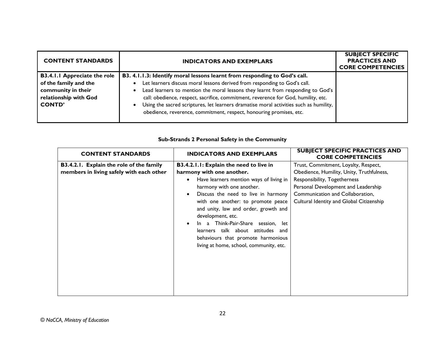| <b>CONTENT STANDARDS</b>                                                                                                     | <b>INDICATORS AND EXEMPLARS</b>                                                                                                                                                                                                                                                                                                                                                                                                                                                                                                         | <b>SUBJECT SPECIFIC</b><br><b>PRACTICES AND</b><br><b>CORE COMPETENCIES</b> |
|------------------------------------------------------------------------------------------------------------------------------|-----------------------------------------------------------------------------------------------------------------------------------------------------------------------------------------------------------------------------------------------------------------------------------------------------------------------------------------------------------------------------------------------------------------------------------------------------------------------------------------------------------------------------------------|-----------------------------------------------------------------------------|
| <b>B3.4.1.1 Appreciate the role</b><br>of the family and the<br>community in their<br>relationship with God<br><b>CONTD'</b> | B3. 4.1.1.3: Identify moral lessons learnt from responding to God's call.<br>Let learners discuss moral lessons derived from responding to God's call.<br>$\bullet$<br>Lead learners to mention the moral lessons they learnt from responding to God's<br>$\bullet$<br>call: obedience, respect, sacrifice, commitment, reverence for God, humility, etc.<br>Using the sacred scriptures, let learners dramatise moral activities such as humility,<br>$\bullet$<br>obedience, reverence, commitment, respect, honouring promises, etc. |                                                                             |

#### **Sub-Strands 2 Personal Safety in the Community**

| <b>CONTENT STANDARDS</b>                                                             | <b>INDICATORS AND EXEMPLARS</b>                                                                                                                                                                                                                                                                                                                                                                                                                    | <b>SUBJECT SPECIFIC PRACTICES AND</b><br><b>CORE COMPETENCIES</b>                                                                                                                                                                        |
|--------------------------------------------------------------------------------------|----------------------------------------------------------------------------------------------------------------------------------------------------------------------------------------------------------------------------------------------------------------------------------------------------------------------------------------------------------------------------------------------------------------------------------------------------|------------------------------------------------------------------------------------------------------------------------------------------------------------------------------------------------------------------------------------------|
| B3.4.2.1. Explain the role of the family<br>members in living safely with each other | B3.4.2.1.1: Explain the need to live in<br>harmony with one another.<br>Have learners mention ways of living in<br>harmony with one another.<br>Discuss the need to live in harmony<br>with one another: to promote peace<br>and unity, law and order, growth and<br>development, etc.<br>In a Think-Pair-Share session, let<br>learners talk about attitudes and<br>behaviours that promote harmonious<br>living at home, school, community, etc. | Trust, Commitment, Loyalty, Respect,<br>Obedience, Humility, Unity, Truthfulness,<br>Responsibility, Togetherness<br>Personal Development and Leadership<br>Communication and Collaboration,<br>Cultural Identity and Global Citizenship |
|                                                                                      |                                                                                                                                                                                                                                                                                                                                                                                                                                                    |                                                                                                                                                                                                                                          |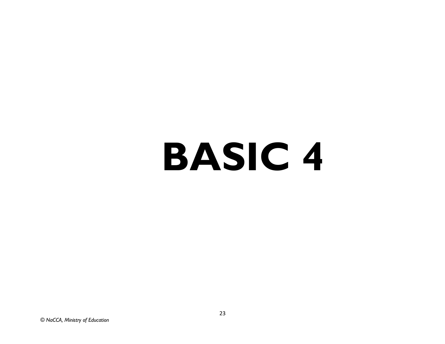# **BASIC 4**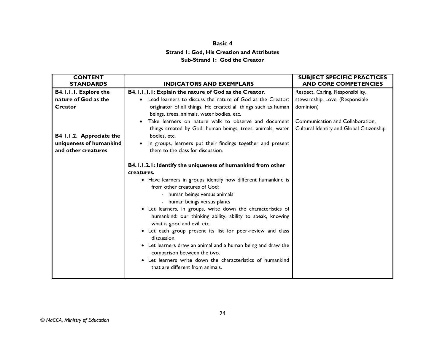# **Basic 4 Strand 1: God, His Creation and Attributes Sub-Strand 1: God the Creator**

| <b>CONTENT</b><br><b>STANDARDS</b>             | <b>INDICATORS AND EXEMPLARS</b>                                                                                                                                                                                                                                                                                                                                                                                                                                                                                                                                                                                                                                                       | <b>SUBJECT SPECIFIC PRACTICES</b><br><b>AND CORE COMPETENCIES</b>            |
|------------------------------------------------|---------------------------------------------------------------------------------------------------------------------------------------------------------------------------------------------------------------------------------------------------------------------------------------------------------------------------------------------------------------------------------------------------------------------------------------------------------------------------------------------------------------------------------------------------------------------------------------------------------------------------------------------------------------------------------------|------------------------------------------------------------------------------|
| <b>B4.1.1.1. Explore the</b>                   | B4.1.1.1.1: Explain the nature of God as the Creator.                                                                                                                                                                                                                                                                                                                                                                                                                                                                                                                                                                                                                                 | Respect, Caring, Responsibility,                                             |
| nature of God as the<br>Creator                | Lead learners to discuss the nature of God as the Creator:<br>$\bullet$<br>originator of all things, He created all things such as human<br>beings, trees, animals, water bodies, etc.                                                                                                                                                                                                                                                                                                                                                                                                                                                                                                | stewardship, Love, (Responsible<br>dominion)                                 |
| B4 1.1.2. Appreciate the                       | Take learners on nature walk to observe and document<br>things created by God: human beings, trees, animals, water<br>bodies, etc.                                                                                                                                                                                                                                                                                                                                                                                                                                                                                                                                                    | Communication and Collaboration.<br>Cultural Identity and Global Citizenship |
| uniqueness of humankind<br>and other creatures | In groups, learners put their findings together and present<br>$\bullet$<br>them to the class for discussion.                                                                                                                                                                                                                                                                                                                                                                                                                                                                                                                                                                         |                                                                              |
|                                                | B4.1.1.2.1: Identify the uniqueness of humankind from other<br>creatures.<br>• Have learners in groups identify how different humankind is<br>from other creatures of God:<br>- human beings versus animals<br>- human beings versus plants<br>• Let learners, in groups, write down the characteristics of<br>humankind: our thinking ability, ability to speak, knowing<br>what is good and evil, etc.<br>• Let each group present its list for peer-review and class<br>discussion.<br>• Let learners draw an animal and a human being and draw the<br>comparison between the two.<br>Let learners write down the characteristics of humankind<br>that are different from animals. |                                                                              |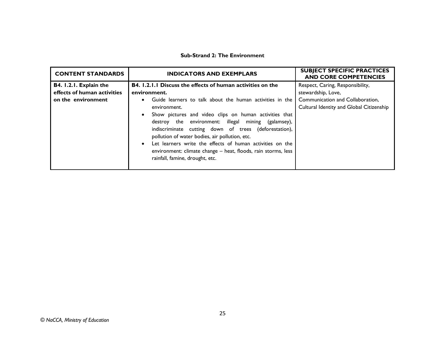#### **Sub-Strand 2: The Environment**

| <b>CONTENT STANDARDS</b>    | <b>INDICATORS AND EXEMPLARS</b>                                                                                                                                                                                                                                                                                                                                                                                                                                       | <b>SUBJECT SPECIFIC PRACTICES</b><br><b>AND CORE COMPETENCIES</b>            |
|-----------------------------|-----------------------------------------------------------------------------------------------------------------------------------------------------------------------------------------------------------------------------------------------------------------------------------------------------------------------------------------------------------------------------------------------------------------------------------------------------------------------|------------------------------------------------------------------------------|
| B4. I.2.I. Explain the      | <b>B4.</b> 1.2.1.1 Discuss the effects of human activities on the                                                                                                                                                                                                                                                                                                                                                                                                     | Respect, Caring, Responsibility,                                             |
| effects of human activities | environment.                                                                                                                                                                                                                                                                                                                                                                                                                                                          | stewardship, Love,                                                           |
| on the environment          | Guide learners to talk about the human activities in the<br>environment.<br>Show pictures and video clips on human activities that<br>destroy the environment: illegal mining (galamsey),<br>indiscriminate cutting down of trees (deforestation),<br>pollution of water bodies, air pollution, etc.<br>Let learners write the effects of human activities on the<br>environment: climate change - heat, floods, rain storms, less<br>rainfall, famine, drought, etc. | Communication and Collaboration,<br>Cultural Identity and Global Citizenship |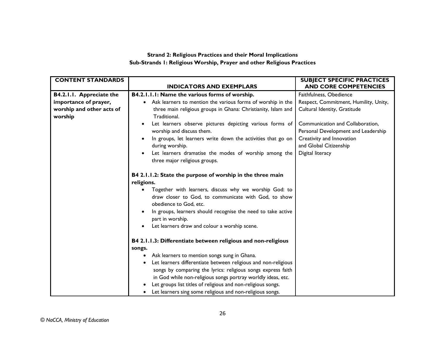#### **Strand 2: Religious Practices and their Moral Implications Sub-Strands 1: Religious Worship, Prayer and other Religious Practices**

| <b>CONTENT STANDARDS</b>             | <b>INDICATORS AND EXEMPLARS</b>                                                        | <b>SUBJECT SPECIFIC PRACTICES</b><br><b>AND CORE COMPETENCIES</b> |
|--------------------------------------|----------------------------------------------------------------------------------------|-------------------------------------------------------------------|
|                                      |                                                                                        |                                                                   |
| B4.2.1.1. Appreciate the             | B4.2.1.1.1: Name the various forms of worship.                                         | Faithfulness, Obedience                                           |
| importance of prayer,                | Ask learners to mention the various forms of worship in the<br>$\bullet$               | Respect, Commitment, Humility, Unity,                             |
| worship and other acts of<br>worship | three main religious groups in Ghana: Christianity, Islam and<br>Traditional.          | Cultural Identity, Gratitude                                      |
|                                      | Let learners observe pictures depicting various forms of                               | Communication and Collaboration,                                  |
|                                      | worship and discuss them.                                                              | Personal Development and Leadership                               |
|                                      | In groups, let learners write down the activities that go on                           | Creativity and Innovation                                         |
|                                      | during worship.                                                                        | and Global Citizenship                                            |
|                                      | Let learners dramatise the modes of worship among the<br>three major religious groups. | Digital literacy                                                  |
|                                      | B4 2.1.1.2: State the purpose of worship in the three main                             |                                                                   |
|                                      | religions.                                                                             |                                                                   |
|                                      | Together with learners, discuss why we worship God: to                                 |                                                                   |
|                                      | draw closer to God, to communicate with God, to show<br>obedience to God. etc.         |                                                                   |
|                                      | In groups, learners should recognise the need to take active                           |                                                                   |
|                                      | part in worship.                                                                       |                                                                   |
|                                      | Let learners draw and colour a worship scene.                                          |                                                                   |
|                                      | B4 2.1.1.3: Differentiate between religious and non-religious                          |                                                                   |
|                                      | songs.                                                                                 |                                                                   |
|                                      | Ask learners to mention songs sung in Ghana.<br>$\bullet$                              |                                                                   |
|                                      | Let learners differentiate between religious and non-religious<br>٠                    |                                                                   |
|                                      | songs by comparing the lyrics: religious songs express faith                           |                                                                   |
|                                      | in God while non-religious songs portray worldly ideas, etc.                           |                                                                   |
|                                      | Let groups list titles of religious and non-religious songs.                           |                                                                   |
|                                      | Let learners sing some religious and non-religious songs.                              |                                                                   |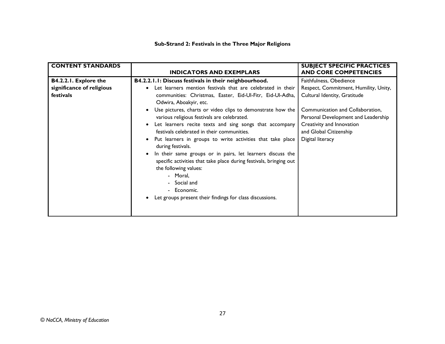#### **Sub-Strand 2: Festivals in the Three Major Religions**

| <b>CONTENT STANDARDS</b>                                        | <b>INDICATORS AND EXEMPLARS</b>                                                                                                                                                                                                                                                                                                                                                                                                                                                                                                                                                                                                                                                                                                                                                                                                 | <b>SUBJECT SPECIFIC PRACTICES</b><br><b>AND CORE COMPETENCIES</b>                                                                                                                                                                                      |
|-----------------------------------------------------------------|---------------------------------------------------------------------------------------------------------------------------------------------------------------------------------------------------------------------------------------------------------------------------------------------------------------------------------------------------------------------------------------------------------------------------------------------------------------------------------------------------------------------------------------------------------------------------------------------------------------------------------------------------------------------------------------------------------------------------------------------------------------------------------------------------------------------------------|--------------------------------------------------------------------------------------------------------------------------------------------------------------------------------------------------------------------------------------------------------|
| B4.2.2.1. Explore the<br>significance of religious<br>festivals | B4.2.2.1.1: Discuss festivals in their neighbourhood.<br>Let learners mention festivals that are celebrated in their<br>$\bullet$<br>communities: Christmas, Easter, Eid-Ul-Fitr, Eid-Ul-Adha,<br>Odwira, Aboakyir, etc.<br>Use pictures, charts or video clips to demonstrate how the<br>various religious festivals are celebrated.<br>Let learners recite texts and sing songs that accompany<br>$\bullet$<br>festivals celebrated in their communities.<br>Put learners in groups to write activities that take place<br>during festivals.<br>In their same groups or in pairs, let learners discuss the<br>$\bullet$<br>specific activities that take place during festivals, bringing out<br>the following values:<br>- Moral,<br>- Social and<br>- Economic.<br>Let groups present their findings for class discussions. | Faithfulness, Obedience<br>Respect, Commitment, Humility, Unity,<br>Cultural Identity, Gratitude<br>Communication and Collaboration,<br>Personal Development and Leadership<br>Creativity and Innovation<br>and Global Citizenship<br>Digital literacy |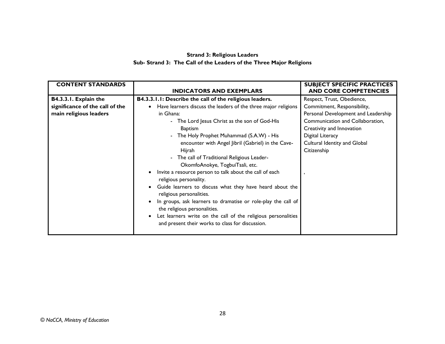#### **Strand 3: Religious Leaders Sub- Strand 3: The Call of the Leaders of the Three Major Religions**

| <b>CONTENT STANDARDS</b>        |                                                                | <b>SUBJECT SPECIFIC PRACTICES</b>   |
|---------------------------------|----------------------------------------------------------------|-------------------------------------|
|                                 | <b>INDICATORS AND EXEMPLARS</b>                                | <b>AND CORE COMPETENCIES</b>        |
| B4.3.3.1. Explain the           | B4.3.3.1.1: Describe the call of the religious leaders.        | Respect, Trust, Obedience,          |
| significance of the call of the | Have learners discuss the leaders of the three major religions | Commitment, Responsibility,         |
| main religious leaders          | in Ghana:                                                      | Personal Development and Leadership |
|                                 | - The Lord Jesus Christ as the son of God-His                  | Communication and Collaboration,    |
|                                 | Baptism                                                        | Creativity and Innovation           |
|                                 | - The Holy Prophet Muhammad (S.A.W) - His                      | Digital Literacy                    |
|                                 | encounter with Angel Jibril (Gabriel) in the Cave-             | Cultural Identity and Global        |
|                                 | Hijrah                                                         | Citizenship                         |
|                                 | - The call of Traditional Religious Leader-                    |                                     |
|                                 | OkomfoAnokye, TogbuiTsali, etc.                                |                                     |
|                                 | Invite a resource person to talk about the call of each        |                                     |
|                                 | religious personality.                                         |                                     |
|                                 | Guide learners to discuss what they have heard about the       |                                     |
|                                 | religious personalities.                                       |                                     |
|                                 | In groups, ask learners to dramatise or role-play the call of  |                                     |
|                                 | the religious personalities.                                   |                                     |
|                                 | Let learners write on the call of the religious personalities  |                                     |
|                                 | and present their works to class for discussion.               |                                     |
|                                 |                                                                |                                     |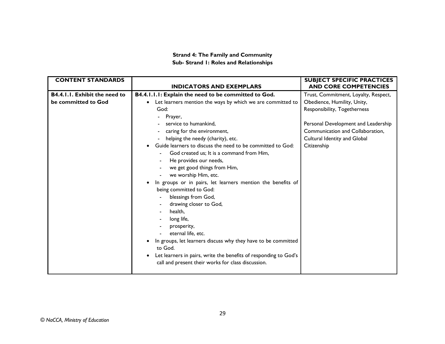#### **Strand 4: The Family and Community Sub- Strand 1: Roles and Relationships**

| <b>CONTENT STANDARDS</b>             |                                                                               | <b>SUBJECT SPECIFIC PRACTICES</b>    |
|--------------------------------------|-------------------------------------------------------------------------------|--------------------------------------|
|                                      | <b>INDICATORS AND EXEMPLARS</b>                                               | <b>AND CORE COMPETENCIES</b>         |
| <b>B4.4.1.1. Exhibit the need to</b> | B4.4.1.1.1: Explain the need to be committed to God.                          | Trust, Commitment, Loyalty, Respect, |
| be committed to God                  | Let learners mention the ways by which we are committed to<br>$\bullet$       | Obedience, Humility, Unity,          |
|                                      | God:                                                                          | Responsibility, Togetherness         |
|                                      | Prayer,                                                                       |                                      |
|                                      | service to humankind.                                                         | Personal Development and Leadership  |
|                                      | caring for the environment,                                                   | Communication and Collaboration,     |
|                                      | helping the needy (charity), etc.                                             | Cultural Identity and Global         |
|                                      | Guide learners to discuss the need to be committed to God:<br>$\bullet$       | Citizenship                          |
|                                      | God created us; It is a command from Him,                                     |                                      |
|                                      | He provides our needs,                                                        |                                      |
|                                      | we get good things from Him,                                                  |                                      |
|                                      | we worship Him, etc.                                                          |                                      |
|                                      | In groups or in pairs, let learners mention the benefits of<br>$\bullet$      |                                      |
|                                      | being committed to God:                                                       |                                      |
|                                      | blessings from God,                                                           |                                      |
|                                      | drawing closer to God,                                                        |                                      |
|                                      | health,                                                                       |                                      |
|                                      | long life,                                                                    |                                      |
|                                      | prosperity,                                                                   |                                      |
|                                      | eternal life, etc.                                                            |                                      |
|                                      | In groups, let learners discuss why they have to be committed                 |                                      |
|                                      | to God.                                                                       |                                      |
|                                      | Let learners in pairs, write the benefits of responding to God's<br>$\bullet$ |                                      |
|                                      | call and present their works for class discussion.                            |                                      |
|                                      |                                                                               |                                      |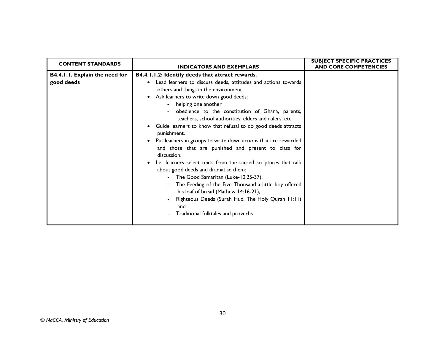| <b>CONTENT STANDARDS</b>                     | <b>INDICATORS AND EXEMPLARS</b>                                                                                                                                                                                                                                                                                                                                                                                                                                                                                                                                                                                                                                                                                                                                                                                                                                                                                                                               | <b>SUBJECT SPECIFIC PRACTICES</b><br><b>AND CORE COMPETENCIES</b> |
|----------------------------------------------|---------------------------------------------------------------------------------------------------------------------------------------------------------------------------------------------------------------------------------------------------------------------------------------------------------------------------------------------------------------------------------------------------------------------------------------------------------------------------------------------------------------------------------------------------------------------------------------------------------------------------------------------------------------------------------------------------------------------------------------------------------------------------------------------------------------------------------------------------------------------------------------------------------------------------------------------------------------|-------------------------------------------------------------------|
| B4.4.1.1. Explain the need for<br>good deeds | B4.4.1.1.2: Identify deeds that attract rewards.<br>Lead learners to discuss deeds, attitudes and actions towards<br>others and things in the environment.<br>Ask learners to write down good deeds:<br>$\bullet$<br>helping one another<br>obedience to the constitution of Ghana, parents,<br>teachers, school authorities, elders and rulers, etc.<br>Guide learners to know that refusal to do good deeds attracts<br>$\bullet$<br>punishment.<br>Put learners in groups to write down actions that are rewarded<br>$\bullet$<br>and those that are punished and present to class for<br>discussion.<br>Let learners select texts from the sacred scriptures that talk<br>about good deeds and dramatise them:<br>The Good Samaritan (Luke-10:25-37),<br>The Feeding of the Five Thousand-a little boy offered<br>his loaf of bread (Mathew 14:16-21),<br>Righteous Deeds (Surah Hud, The Holy Quran 11:11)<br>and<br>Traditional folktales and proverbs. |                                                                   |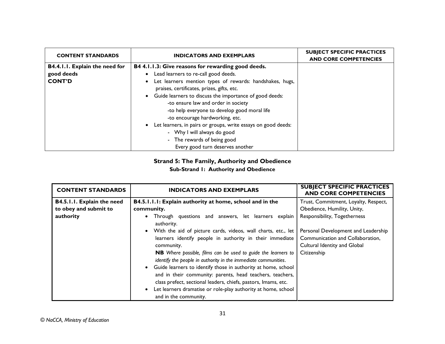| <b>CONTENT STANDARDS</b>       | <b>INDICATORS AND EXEMPLARS</b>                                                                        | <b>SUBJECT SPECIFIC PRACTICES</b><br><b>AND CORE COMPETENCIES</b> |
|--------------------------------|--------------------------------------------------------------------------------------------------------|-------------------------------------------------------------------|
| B4.4.1.1. Explain the need for | B4 4.1.1.3: Give reasons for rewarding good deeds.                                                     |                                                                   |
| good deeds                     | Lead learners to re-call good deeds.                                                                   |                                                                   |
| <b>CONT'D</b>                  | Let learners mention types of rewards: handshakes, hugs,<br>praises, certificates, prizes, gifts, etc. |                                                                   |
|                                | Guide learners to discuss the importance of good deeds:<br>-to ensure law and order in society         |                                                                   |
|                                | -to help everyone to develop good moral life<br>-to encourage hardworking, etc.                        |                                                                   |
|                                | Let learners, in pairs or groups, write essays on good deeds:                                          |                                                                   |
|                                | - Why I will always do good                                                                            |                                                                   |
|                                | - The rewards of being good                                                                            |                                                                   |
|                                | Every good turn deserves another                                                                       |                                                                   |

# **Strand 5: The Family, Authority and Obedience**

#### **Sub-Strand 1: Authority and Obedience**

| <b>CONTENT STANDARDS</b>   | <b>INDICATORS AND EXEMPLARS</b>                                                                                                                                                                                                                                                                                                                                                                                                                                                                                                                                          | <b>SUBJECT SPECIFIC PRACTICES</b><br><b>AND CORE COMPETENCIES</b>                                                      |
|----------------------------|--------------------------------------------------------------------------------------------------------------------------------------------------------------------------------------------------------------------------------------------------------------------------------------------------------------------------------------------------------------------------------------------------------------------------------------------------------------------------------------------------------------------------------------------------------------------------|------------------------------------------------------------------------------------------------------------------------|
| B4.5.1.1. Explain the need | B4.5.1.1.1: Explain authority at home, school and in the                                                                                                                                                                                                                                                                                                                                                                                                                                                                                                                 | Trust, Commitment, Loyalty, Respect,                                                                                   |
| to obey and submit to      | community.                                                                                                                                                                                                                                                                                                                                                                                                                                                                                                                                                               | Obedience, Humility, Unity,                                                                                            |
| authority                  | Through questions and answers, let learners explain<br>authority.                                                                                                                                                                                                                                                                                                                                                                                                                                                                                                        | Responsibility, Togetherness                                                                                           |
|                            | • With the aid of picture cards, videos, wall charts, etc., let<br>learners identify people in authority in their immediate<br>community.<br>NB Where possible, films can be used to guide the learners to<br>identify the people in authority in the immediate communities.<br>• Guide learners to identify those in authority at home, school<br>and in their community: parents, head teachers, teachers,<br>class prefect, sectional leaders, chiefs, pastors, lmams, etc.<br>Let learners dramatise or role-play authority at home, school<br>and in the community. | Personal Development and Leadership<br>Communication and Collaboration,<br>Cultural Identity and Global<br>Citizenship |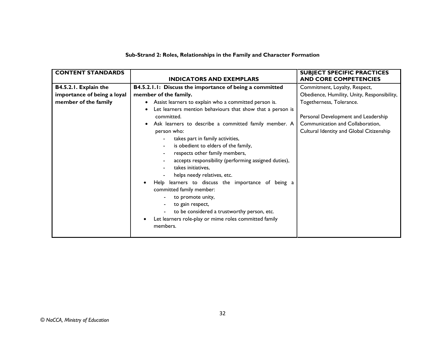| Sub-Strand 2: Roles, Relationships in the Family and Character Formation |  |
|--------------------------------------------------------------------------|--|
|--------------------------------------------------------------------------|--|

| <b>CONTENT STANDARDS</b>    |                                                            | <b>SUBJECT SPECIFIC PRACTICES</b>           |
|-----------------------------|------------------------------------------------------------|---------------------------------------------|
|                             | <b>INDICATORS AND EXEMPLARS</b>                            | <b>AND CORE COMPETENCIES</b>                |
| B4.5.2.1. Explain the       | B4.5.2.1.1: Discuss the importance of being a committed    | Commitment, Loyalty, Respect,               |
| importance of being a loyal | member of the family.                                      | Obedience, Humility, Unity, Responsibility, |
| member of the family        | Assist learners to explain who a committed person is.      | Togetherness, Tolerance.                    |
|                             | Let learners mention behaviours that show that a person is |                                             |
|                             | committed.                                                 | Personal Development and Leadership         |
|                             | Ask learners to describe a committed family member. A      | Communication and Collaboration,            |
|                             | person who:                                                | Cultural Identity and Global Citizenship    |
|                             | takes part in family activities,                           |                                             |
|                             | is obedient to elders of the family,                       |                                             |
|                             | respects other family members,                             |                                             |
|                             | accepts responsibility (performing assigned duties),       |                                             |
|                             | takes initiatives,                                         |                                             |
|                             | helps needy relatives, etc.                                |                                             |
|                             | Help learners to discuss the importance of being a         |                                             |
|                             | committed family member:                                   |                                             |
|                             | to promote unity,                                          |                                             |
|                             | to gain respect,                                           |                                             |
|                             | to be considered a trustworthy person, etc.                |                                             |
|                             | Let learners role-play or mime roles committed family      |                                             |
|                             | members.                                                   |                                             |
|                             |                                                            |                                             |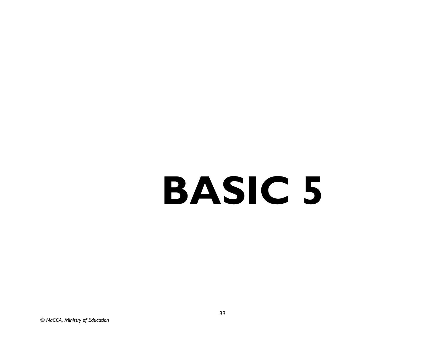# **BASIC 5**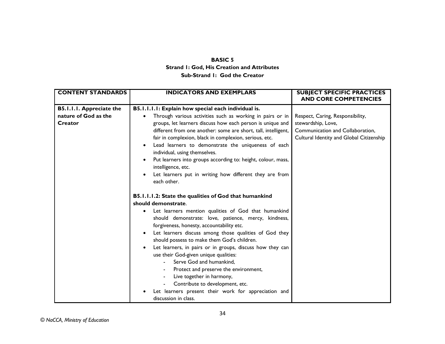#### **BASIC 5 Strand 1: God, His Creation and Attributes Sub-Strand 1: God the Creator**

| <b>CONTENT STANDARDS</b>        | <b>INDICATORS AND EXEMPLARS</b>                                                                   | <b>SUBJECT SPECIFIC PRACTICES</b><br><b>AND CORE COMPETENCIES</b> |
|---------------------------------|---------------------------------------------------------------------------------------------------|-------------------------------------------------------------------|
| <b>B5.I.I.I. Appreciate the</b> | B5.1.1.1.1: Explain how special each individual is.                                               |                                                                   |
| nature of God as the            | Through various activities such as working in pairs or in                                         | Respect, Caring, Responsibility,                                  |
| Creator                         | groups, let learners discuss how each person is unique and                                        | stewardship, Love,                                                |
|                                 | different from one another: some are short, tall, intelligent,                                    | Communication and Collaboration,                                  |
|                                 | fair in complexion, black in complexion, serious, etc.                                            | Cultural Identity and Global Citizenship                          |
|                                 | Lead learners to demonstrate the uniqueness of each<br>$\bullet$<br>individual, using themselves. |                                                                   |
|                                 | Put learners into groups according to: height, colour, mass,                                      |                                                                   |
|                                 | intelligence, etc.                                                                                |                                                                   |
|                                 | Let learners put in writing how different they are from                                           |                                                                   |
|                                 | each other.                                                                                       |                                                                   |
|                                 | B5.1.1.1.2: State the qualities of God that humankind                                             |                                                                   |
|                                 | should demonstrate.                                                                               |                                                                   |
|                                 |                                                                                                   |                                                                   |
|                                 | Let learners mention qualities of God that humankind<br>٠                                         |                                                                   |
|                                 | should demonstrate: love, patience, mercy, kindness,                                              |                                                                   |
|                                 | forgiveness, honesty, accountability etc.                                                         |                                                                   |
|                                 | Let learners discuss among those qualities of God they                                            |                                                                   |
|                                 | should possess to make them God's children.                                                       |                                                                   |
|                                 | Let learners, in pairs or in groups, discuss how they can                                         |                                                                   |
|                                 | use their God-given unique qualities:                                                             |                                                                   |
|                                 | Serve God and humankind,                                                                          |                                                                   |
|                                 | Protect and preserve the environment,                                                             |                                                                   |
|                                 | Live together in harmony,                                                                         |                                                                   |
|                                 | Contribute to development, etc.                                                                   |                                                                   |
|                                 | Let learners present their work for appreciation and                                              |                                                                   |
|                                 | discussion in class.                                                                              |                                                                   |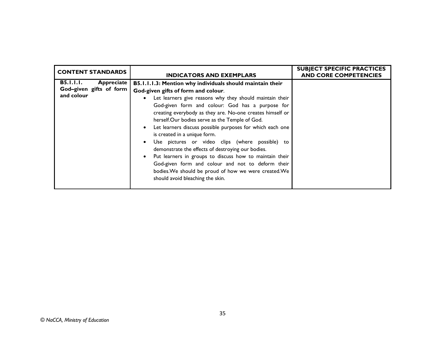| <b>CONTENT STANDARDS</b>                                                | <b>INDICATORS AND EXEMPLARS</b>                                                                                                                                                                                                                                                                                                                                                                                                                                                                                                                                                                                                                                                                                                                   | <b>SUBJECT SPECIFIC PRACTICES</b><br><b>AND CORE COMPETENCIES</b> |
|-------------------------------------------------------------------------|---------------------------------------------------------------------------------------------------------------------------------------------------------------------------------------------------------------------------------------------------------------------------------------------------------------------------------------------------------------------------------------------------------------------------------------------------------------------------------------------------------------------------------------------------------------------------------------------------------------------------------------------------------------------------------------------------------------------------------------------------|-------------------------------------------------------------------|
| <b>B5.I.I.I.</b><br>Appreciate<br>God-given gifts of form<br>and colour | B5.1.1.1.3: Mention why individuals should maintain their<br>God-given gifts of form and colour.<br>Let learners give reasons why they should maintain their<br>God-given form and colour: God has a purpose for<br>creating everybody as they are. No-one creates himself or<br>herself.Our bodies serve as the Temple of God.<br>Let learners discuss possible purposes for which each one<br>is created in a unique form.<br>Use pictures or video clips (where possible) to<br>demonstrate the effects of destroying our bodies.<br>Put learners in groups to discuss how to maintain their<br>God-given form and colour and not to deform their<br>bodies. We should be proud of how we were created. We<br>should avoid bleaching the skin. |                                                                   |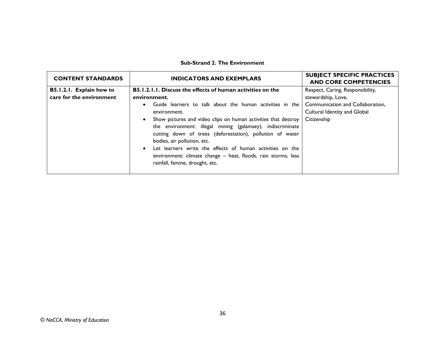#### **Sub-Strand 2. The Environment**

| <b>CONTENT STANDARDS</b> | <b>INDICATORS AND EXEMPLARS</b>                                                                                                                                                                                                                                                                                                                                                                        | <b>SUBJECT SPECIFIC PRACTICES</b><br><b>AND CORE COMPETENCIES</b> |
|--------------------------|--------------------------------------------------------------------------------------------------------------------------------------------------------------------------------------------------------------------------------------------------------------------------------------------------------------------------------------------------------------------------------------------------------|-------------------------------------------------------------------|
| B5.1.2.1. Explain how to | <b>B5.1.2.1.1. Discuss the effects of human activities on the</b>                                                                                                                                                                                                                                                                                                                                      | Respect, Caring, Responsibility,                                  |
| care for the environment | environment.                                                                                                                                                                                                                                                                                                                                                                                           | stewardship, Love,                                                |
|                          | Guide learners to talk about the human activities in the<br>$\bullet$                                                                                                                                                                                                                                                                                                                                  | Communication and Collaboration,                                  |
|                          | environment.                                                                                                                                                                                                                                                                                                                                                                                           | Cultural Identity and Global                                      |
|                          | Show pictures and video clips on human activities that destroy<br>the environment: illegal mining (galamsey), indiscriminate<br>cutting down of trees (deforestation), pollution of water<br>bodies, air pollution, etc.<br>Let learners write the effects of human activities on the<br>$\bullet$<br>environment: climate change – heat, floods, rain storms, less<br>rainfall, famine, drought, etc. | Citizenship                                                       |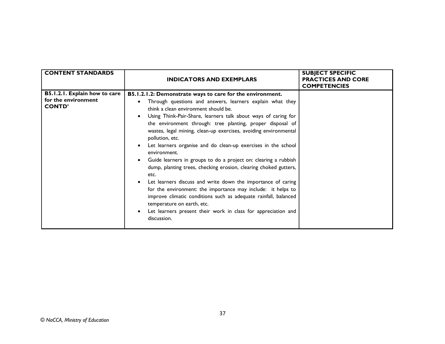| <b>CONTENT STANDARDS</b>                                              | <b>INDICATORS AND EXEMPLARS</b>                                                                                                                                                                                                                                                                                                                                                                                                                                                                                                                                                                                                                                                                                                                                                                                                                                                                                                        | <b>SUBJECT SPECIFIC</b><br><b>PRACTICES AND CORE</b><br><b>COMPETENCIES</b> |
|-----------------------------------------------------------------------|----------------------------------------------------------------------------------------------------------------------------------------------------------------------------------------------------------------------------------------------------------------------------------------------------------------------------------------------------------------------------------------------------------------------------------------------------------------------------------------------------------------------------------------------------------------------------------------------------------------------------------------------------------------------------------------------------------------------------------------------------------------------------------------------------------------------------------------------------------------------------------------------------------------------------------------|-----------------------------------------------------------------------------|
| B5.1.2.1. Explain how to care<br>for the environment<br><b>CONTD'</b> | B5.1.2.1.2: Demonstrate ways to care for the environment.<br>Through questions and answers, learners explain what they<br>think a clean environment should be.<br>Using Think-Pair-Share, learners talk about ways of caring for<br>the environment through: tree planting, proper disposal of<br>wastes, legal mining, clean-up exercises, avoiding environmental<br>pollution, etc.<br>Let learners organise and do clean-up exercises in the school<br>environment.<br>Guide learners in groups to do a project on: clearing a rubbish<br>dump, planting trees, checking erosion, clearing choked gutters,<br>etc.<br>Let learners discuss and write down the importance of caring<br>for the environment: the importance may include: it helps to<br>improve climatic conditions such as adequate rainfall, balanced<br>temperature on earth, etc.<br>Let learners present their work in class for appreciation and<br>discussion. |                                                                             |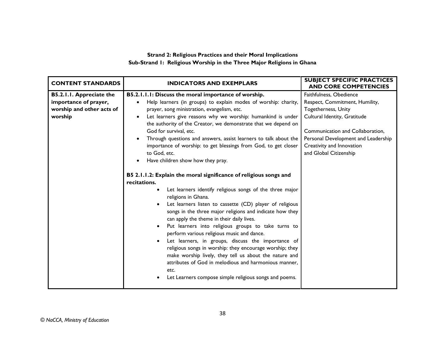#### **Strand 2: Religious Practices and their Moral Implications Sub-Strand 1: Religious Worship in the Three Major Religions in Ghana**

| <b>CONTENT STANDARDS</b>                                                                  | <b>INDICATORS AND EXEMPLARS</b>                                                                                                                                                                                                                                                                                                                                                                                                                                                                                                                                                                                                                                                                                                                                                                                                                                                                                                                                                                                                                                                                                                                                                                                                                                                                                                                          | <b>SUBJECT SPECIFIC PRACTICES</b><br><b>AND CORE COMPETENCIES</b>                                                                                                                                                                                  |
|-------------------------------------------------------------------------------------------|----------------------------------------------------------------------------------------------------------------------------------------------------------------------------------------------------------------------------------------------------------------------------------------------------------------------------------------------------------------------------------------------------------------------------------------------------------------------------------------------------------------------------------------------------------------------------------------------------------------------------------------------------------------------------------------------------------------------------------------------------------------------------------------------------------------------------------------------------------------------------------------------------------------------------------------------------------------------------------------------------------------------------------------------------------------------------------------------------------------------------------------------------------------------------------------------------------------------------------------------------------------------------------------------------------------------------------------------------------|----------------------------------------------------------------------------------------------------------------------------------------------------------------------------------------------------------------------------------------------------|
| B5.2.1.1. Appreciate the<br>importance of prayer,<br>worship and other acts of<br>worship | B5.2.1.1.1: Discuss the moral importance of worship.<br>Help learners (in groups) to explain modes of worship: charity,<br>prayer, song ministration, evangelism, etc.<br>Let learners give reasons why we worship: humankind is under<br>$\bullet$<br>the authority of the Creator, we demonstrate that we depend on<br>God for survival, etc.<br>Through questions and answers, assist learners to talk about the<br>importance of worship: to get blessings from God, to get closer<br>to God, etc.<br>Have children show how they pray.<br>$\bullet$<br>B5 2.1.1.2: Explain the moral significance of religious songs and<br>recitations.<br>Let learners identify religious songs of the three major<br>religions in Ghana.<br>Let learners listen to cassette (CD) player of religious<br>songs in the three major religions and indicate how they<br>can apply the theme in their daily lives.<br>Put learners into religious groups to take turns to<br>$\bullet$<br>perform various religious music and dance.<br>Let learners, in groups, discuss the importance of<br>$\bullet$<br>religious songs in worship: they encourage worship; they<br>make worship lively, they tell us about the nature and<br>attributes of God in melodious and harmonious manner,<br>etc.<br>Let Learners compose simple religious songs and poems.<br>$\bullet$ | Faithfulness, Obedience<br>Respect, Commitment, Humility,<br>Togetherness, Unity<br>Cultural Identity, Gratitude<br>Communication and Collaboration,<br>Personal Development and Leadership<br>Creativity and Innovation<br>and Global Citizenship |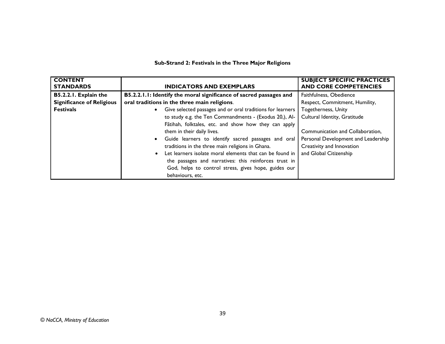# **Sub-Strand 2: Festivals in the Three Major Religions**

| <b>CONTENT</b><br><b>STANDARDS</b> | <b>INDICATORS AND EXEMPLARS</b>                                    | <b>SUBJECT SPECIFIC PRACTICES</b><br><b>AND CORE COMPETENCIES</b> |
|------------------------------------|--------------------------------------------------------------------|-------------------------------------------------------------------|
| B5.2.2.1. Explain the              | B5.2.2.1.1: Identify the moral significance of sacred passages and | Faithfulness, Obedience                                           |
| <b>Significance of Religious</b>   | oral traditions in the three main religions.                       | Respect, Commitment, Humility,                                    |
| <b>Festivals</b>                   | Give selected passages and or oral traditions for learners         | Togetherness, Unity                                               |
|                                    | to study e.g. the Ten Commandments - (Exodus 20,), Al-             | Cultural Identity, Gratitude                                      |
|                                    | Fãtihah, folktales, etc. and show how they can apply               |                                                                   |
|                                    | them in their daily lives.                                         | Communication and Collaboration,                                  |
|                                    | Guide learners to identify sacred passages and oral                | Personal Development and Leadership                               |
|                                    | traditions in the three main religions in Ghana.                   | Creativity and Innovation                                         |
|                                    | Let learners isolate moral elements that can be found in           | and Global Citizenship                                            |
|                                    | the passages and narratives: this reinforces trust in              |                                                                   |
|                                    | God, helps to control stress, gives hope, guides our               |                                                                   |
|                                    | behaviours, etc.                                                   |                                                                   |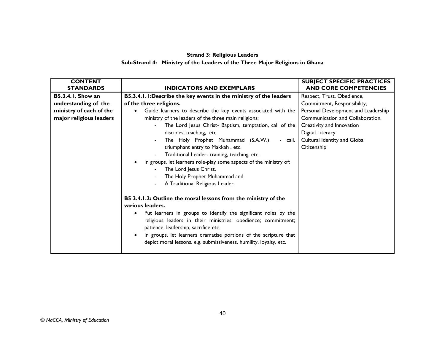#### **Strand 3: Religious Leaders Sub-Strand 4: Ministry of the Leaders of the Three Major Religions in Ghana**

| <b>CONTENT</b><br><b>STANDARDS</b> | <b>INDICATORS AND EXEMPLARS</b>                                                                                                                                                                                                                                                                                                                                                                                       | <b>SUBJECT SPECIFIC PRACTICES</b><br><b>AND CORE COMPETENCIES</b> |
|------------------------------------|-----------------------------------------------------------------------------------------------------------------------------------------------------------------------------------------------------------------------------------------------------------------------------------------------------------------------------------------------------------------------------------------------------------------------|-------------------------------------------------------------------|
| <b>B5.3.4.1. Show an</b>           | B5.3.4.1.1: Describe the key events in the ministry of the leaders                                                                                                                                                                                                                                                                                                                                                    | Respect, Trust, Obedience,                                        |
| understanding of the               | of the three religions.                                                                                                                                                                                                                                                                                                                                                                                               | Commitment, Responsibility,                                       |
| ministry of each of the            | Guide learners to describe the key events associated with the<br>$\bullet$                                                                                                                                                                                                                                                                                                                                            | Personal Development and Leadership                               |
| major religious leaders            | ministry of the leaders of the three main religions:                                                                                                                                                                                                                                                                                                                                                                  | Communication and Collaboration,                                  |
|                                    | The Lord Jesus Christ- Baptism, temptation, call of the                                                                                                                                                                                                                                                                                                                                                               | Creativity and Innovation                                         |
|                                    | disciples, teaching, etc.                                                                                                                                                                                                                                                                                                                                                                                             | Digital Literacy                                                  |
|                                    | The Holy Prophet Muhammad (S.A.W.)<br>- call,                                                                                                                                                                                                                                                                                                                                                                         | Cultural Identity and Global                                      |
|                                    | triumphant entry to Makkah, etc.                                                                                                                                                                                                                                                                                                                                                                                      | Citizenship                                                       |
|                                    | Traditional Leader- training, teaching, etc.                                                                                                                                                                                                                                                                                                                                                                          |                                                                   |
|                                    | In groups, let learners role-play some aspects of the ministry of:                                                                                                                                                                                                                                                                                                                                                    |                                                                   |
|                                    | The Lord Jesus Christ,                                                                                                                                                                                                                                                                                                                                                                                                |                                                                   |
|                                    | The Holy Prophet Muhammad and                                                                                                                                                                                                                                                                                                                                                                                         |                                                                   |
|                                    | A Traditional Religious Leader.                                                                                                                                                                                                                                                                                                                                                                                       |                                                                   |
|                                    | B5 3.4.1.2: Outline the moral lessons from the ministry of the<br>various leaders.<br>Put learners in groups to identify the significant roles by the<br>$\bullet$<br>religious leaders in their ministries: obedience; commitment;<br>patience, leadership, sacrifice etc.<br>In groups, let learners dramatise portions of the scripture that<br>depict moral lessons, e.g. submissiveness, humility, loyalty, etc. |                                                                   |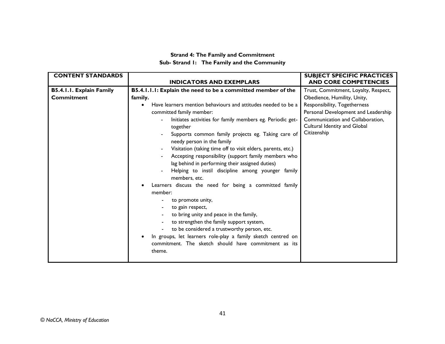#### **Strand 4: The Family and Commitment Sub- Strand 1: The Family and the Community**

| <b>CONTENT STANDARDS</b> | <b>INDICATORS AND EXEMPLARS</b>                                                  | <b>SUBJECT SPECIFIC PRACTICES</b><br><b>AND CORE COMPETENCIES</b> |
|--------------------------|----------------------------------------------------------------------------------|-------------------------------------------------------------------|
|                          |                                                                                  |                                                                   |
| B5.4.1.1. Explain Family | B5.4.1.1.1: Explain the need to be a committed member of the                     | Trust, Commitment, Loyalty, Respect,                              |
| <b>Commitment</b>        | family.                                                                          | Obedience, Humility, Unity,                                       |
|                          | Have learners mention behaviours and attitudes needed to be a<br>$\bullet$       | Responsibility, Togetherness                                      |
|                          | committed family member:                                                         | Personal Development and Leadership                               |
|                          | Initiates activities for family members eg. Periodic get-<br>together            | Communication and Collaboration,<br>Cultural Identity and Global  |
|                          | Supports common family projects eg. Taking care of<br>needy person in the family | Citizenship                                                       |
|                          | Visitation (taking time off to visit elders, parents, etc.)<br>$\blacksquare$    |                                                                   |
|                          | Accepting responsibility (support family members who                             |                                                                   |
|                          | lag behind in performing their assigned duties)                                  |                                                                   |
|                          | Helping to instil discipline among younger family<br>members, etc.               |                                                                   |
|                          | Learners discuss the need for being a committed family                           |                                                                   |
|                          | member:                                                                          |                                                                   |
|                          | to promote unity,                                                                |                                                                   |
|                          | to gain respect,                                                                 |                                                                   |
|                          | to bring unity and peace in the family,                                          |                                                                   |
|                          | to strengthen the family support system,                                         |                                                                   |
|                          | to be considered a trustworthy person, etc.                                      |                                                                   |
|                          | In groups, let learners role-play a family sketch centred on<br>$\bullet$        |                                                                   |
|                          | commitment. The sketch should have commitment as its                             |                                                                   |
|                          | theme.                                                                           |                                                                   |
|                          |                                                                                  |                                                                   |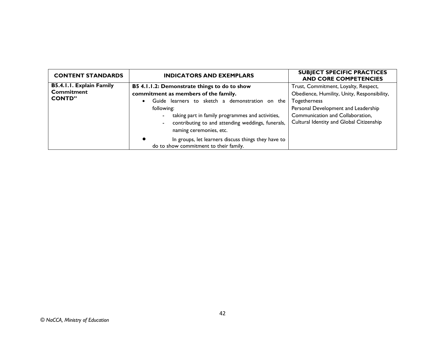| <b>CONTENT STANDARDS</b>                                       | <b>INDICATORS AND EXEMPLARS</b>                                                                                                                                                                                                                                                                        | <b>SUBJECT SPECIFIC PRACTICES</b><br><b>AND CORE COMPETENCIES</b>                                                                                                                                                          |
|----------------------------------------------------------------|--------------------------------------------------------------------------------------------------------------------------------------------------------------------------------------------------------------------------------------------------------------------------------------------------------|----------------------------------------------------------------------------------------------------------------------------------------------------------------------------------------------------------------------------|
| B5.4.1.1. Explain Family<br><b>Commitment</b><br><b>CONTD"</b> | B5 4.1.1.2: Demonstrate things to do to show<br>commitment as members of the family.<br>Guide learners to sketch a demonstration on the<br>$\bullet$<br>following:<br>taking part in family programmes and activities,<br>contributing to and attending weddings, funerals,<br>naming ceremonies, etc. | Trust, Commitment, Loyalty, Respect,<br>Obedience, Humility, Unity, Responsibility,<br>Togetherness<br>Personal Development and Leadership<br>Communication and Collaboration,<br>Cultural Identity and Global Citizenship |
|                                                                | In groups, let learners discuss things they have to<br>do to show commitment to their family.                                                                                                                                                                                                          |                                                                                                                                                                                                                            |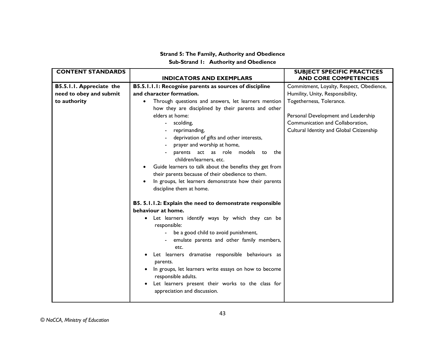#### **Strand 5: The Family, Authority and Obedience Sub-Strand 1: Authority and Obedience**

| <b>CONTENT STANDARDS</b>                                            |                                                                                                                                                                                                                                                                                                                                                                                                                                                                                                                                                                                       | <b>SUBJECT SPECIFIC PRACTICES</b>                                                                                                                                                                                                                               |
|---------------------------------------------------------------------|---------------------------------------------------------------------------------------------------------------------------------------------------------------------------------------------------------------------------------------------------------------------------------------------------------------------------------------------------------------------------------------------------------------------------------------------------------------------------------------------------------------------------------------------------------------------------------------|-----------------------------------------------------------------------------------------------------------------------------------------------------------------------------------------------------------------------------------------------------------------|
| B5.5.1.1. Appreciate the<br>need to obey and submit<br>to authority | <b>INDICATORS AND EXEMPLARS</b><br>B5.5.1.1.1: Recognise parents as sources of discipline<br>and character formation.<br>Through questions and answers, let learners mention<br>$\bullet$<br>how they are disciplined by their parents and other<br>elders at home:<br>scolding,<br>reprimanding,<br>deprivation of gifts and other interests,<br>prayer and worship at home,<br>parents act as role models to the<br>children/learners, etc.<br>Guide learners to talk about the benefits they get from<br>their parents because of their obedience to them.                         | <b>AND CORE COMPETENCIES</b><br>Commitment, Loyalty, Respect, Obedience,<br>Humility, Unity, Responsibility,<br>Togetherness, Tolerance.<br>Personal Development and Leadership<br>Communication and Collaboration,<br>Cultural Identity and Global Citizenship |
|                                                                     | In groups, let learners demonstrate how their parents<br>$\bullet$<br>discipline them at home.<br>B5. 5.1.1.2: Explain the need to demonstrate responsible<br>behaviour at home.<br>Let learners identify ways by which they can be<br>responsible:<br>be a good child to avoid punishment,<br>emulate parents and other family members,<br>etc.<br>Let learners dramatise responsible behaviours as<br>parents.<br>In groups, let learners write essays on how to become<br>responsible adults.<br>Let learners present their works to the class for<br>appreciation and discussion. |                                                                                                                                                                                                                                                                 |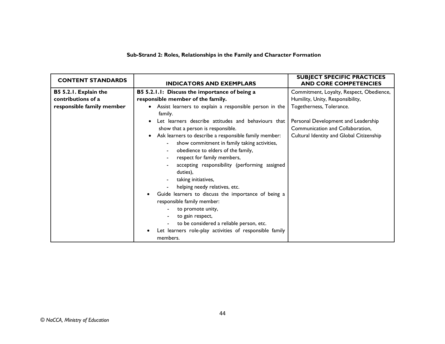#### **Sub-Strand 2: Roles, Relationships in the Family and Character Formation**

| <b>CONTENT STANDARDS</b>                                                 | <b>INDICATORS AND EXEMPLARS</b>                                                                                                                                                                                                                                                                                                                                                                                                                                                                                                                                                                                                         | <b>SUBJECT SPECIFIC PRACTICES</b><br><b>AND CORE COMPETENCIES</b>                                                                               |
|--------------------------------------------------------------------------|-----------------------------------------------------------------------------------------------------------------------------------------------------------------------------------------------------------------------------------------------------------------------------------------------------------------------------------------------------------------------------------------------------------------------------------------------------------------------------------------------------------------------------------------------------------------------------------------------------------------------------------------|-------------------------------------------------------------------------------------------------------------------------------------------------|
| B5 5.2.1. Explain the<br>contributions of a<br>responsible family member | B5 5.2.1.1: Discuss the importance of being a<br>responsible member of the family.<br>Assist learners to explain a responsible person in the<br>$\bullet$<br>family.<br>Let learners describe attitudes and behaviours that                                                                                                                                                                                                                                                                                                                                                                                                             | Commitment, Loyalty, Respect, Obedience,<br>Humility, Unity, Responsibility,<br>Togetherness, Tolerance.<br>Personal Development and Leadership |
|                                                                          | show that a person is responsible.<br>Ask learners to describe a responsible family member:<br>$\bullet$<br>show commitment in family taking activities,<br>$\blacksquare$<br>obedience to elders of the family,<br>$\blacksquare$<br>respect for family members,<br>accepting responsibility (performing assigned<br>duties),<br>taking initiatives,<br>helping needy relatives, etc.<br>Guide learners to discuss the importance of being a<br>responsible family member:<br>to promote unity,<br>to gain respect,<br>to be considered a reliable person, etc.<br>Let learners role-play activities of responsible family<br>members. | Communication and Collaboration,<br>Cultural Identity and Global Citizenship                                                                    |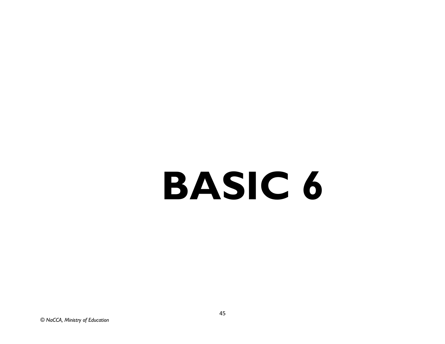# **BASIC 6**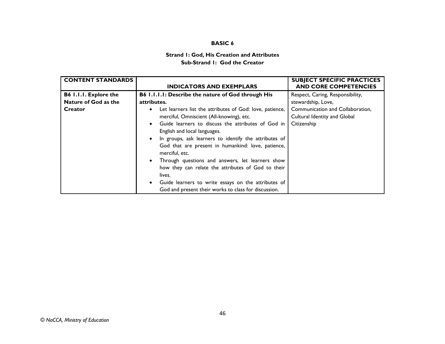#### **BASIC 6**

#### **Strand 1: God, His Creation and Attributes Sub-Strand 1: God the Creator**

| <b>CONTENT STANDARDS</b>     |                                                           | <b>SUBJECT SPECIFIC PRACTICES</b> |
|------------------------------|-----------------------------------------------------------|-----------------------------------|
|                              | <b>INDICATORS AND EXEMPLARS</b>                           | <b>AND CORE COMPETENCIES</b>      |
| <b>B6 I.I.I. Explore the</b> | <b>B6 1.1.1.1: Describe the nature of God through His</b> | Respect, Caring, Responsibility,  |
| Nature of God as the         | attributes.                                               | stewardship, Love,                |
| Creator                      | Let learners list the attributes of God: love, patience,  | Communication and Collaboration.  |
|                              | merciful, Omniscient (All-knowing), etc.                  | Cultural Identity and Global      |
|                              | Guide learners to discuss the attributes of God in        | Citizenship                       |
|                              | English and local languages.                              |                                   |
|                              | In groups, ask learners to identify the attributes of     |                                   |
|                              | God that are present in humankind: love, patience,        |                                   |
|                              | merciful, etc.                                            |                                   |
|                              | Through questions and answers, let learners show          |                                   |
|                              | how they can relate the attributes of God to their        |                                   |
|                              | lives.                                                    |                                   |
|                              | Guide learners to write essays on the attributes of       |                                   |
|                              | God and present their works to class for discussion.      |                                   |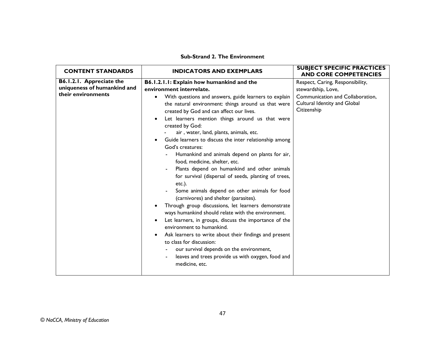#### **Sub-Strand 2. The Environment**

| <b>CONTENT STANDARDS</b>                                                      | <b>INDICATORS AND EXEMPLARS</b>                                                                                                                                                                                                                                                                                                                                                                                                                                                                                                                                                                                                                                                                                                                                                                                                                                                                                                                                                                                                                                                                                                                                                                   | <b>SUBJECT SPECIFIC PRACTICES</b><br><b>AND CORE COMPETENCIES</b>                                                                         |
|-------------------------------------------------------------------------------|---------------------------------------------------------------------------------------------------------------------------------------------------------------------------------------------------------------------------------------------------------------------------------------------------------------------------------------------------------------------------------------------------------------------------------------------------------------------------------------------------------------------------------------------------------------------------------------------------------------------------------------------------------------------------------------------------------------------------------------------------------------------------------------------------------------------------------------------------------------------------------------------------------------------------------------------------------------------------------------------------------------------------------------------------------------------------------------------------------------------------------------------------------------------------------------------------|-------------------------------------------------------------------------------------------------------------------------------------------|
| B6.1.2.1. Appreciate the<br>uniqueness of humankind and<br>their environments | B6.1.2.1.1: Explain how humankind and the<br>environment interrelate.<br>With questions and answers, guide learners to explain<br>$\bullet$<br>the natural environment: things around us that were<br>created by God and can affect our lives.<br>Let learners mention things around us that were<br>$\bullet$<br>created by God:<br>air, water, land, plants, animals, etc.<br>Guide learners to discuss the inter relationship among<br>God's creatures:<br>Humankind and animals depend on plants for air,<br>food, medicine, shelter, etc.<br>Plants depend on humankind and other animals<br>for survival (dispersal of seeds, planting of trees,<br>$etc.$ ).<br>Some animals depend on other animals for food<br>(carnivores) and shelter (parasites).<br>Through group discussions, let learners demonstrate<br>٠<br>ways humankind should relate with the environment.<br>Let learners, in groups, discuss the importance of the<br>٠<br>environment to humankind.<br>Ask learners to write about their findings and present<br>$\bullet$<br>to class for discussion:<br>our survival depends on the environment,<br>leaves and trees provide us with oxygen, food and<br>medicine, etc. | Respect, Caring, Responsibility,<br>stewardship, Love,<br>Communication and Collaboration,<br>Cultural Identity and Global<br>Citizenship |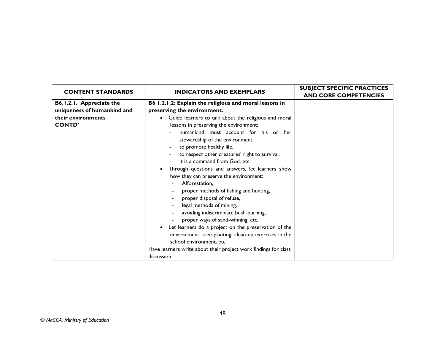| <b>CONTENT STANDARDS</b>                                                                       | <b>INDICATORS AND EXEMPLARS</b>                                                                                                                                                                                                                                                                                                                                                                                                                                                                       | <b>SUBJECT SPECIFIC PRACTICES</b> |
|------------------------------------------------------------------------------------------------|-------------------------------------------------------------------------------------------------------------------------------------------------------------------------------------------------------------------------------------------------------------------------------------------------------------------------------------------------------------------------------------------------------------------------------------------------------------------------------------------------------|-----------------------------------|
| B6.1.2.1. Appreciate the<br>uniqueness of humankind and<br>their environments<br><b>CONTD'</b> | B6 1.2.1.2: Explain the religious and moral lessons in<br>preserving the environment.<br>• Guide learners to talk about the religious and moral<br>lessons in preserving the environment:<br>humankind must account for his or her<br>stewardship of the environment,<br>to promote healthy life,<br>to respect other creatures' right to survival,<br>it is a command from God, etc.<br>Through questions and answers, let learners show<br>how they can preserve the environment:<br>Afforestation, | <b>AND CORE COMPETENCIES</b>      |
|                                                                                                | proper methods of fishing and hunting,<br>proper disposal of refuse,<br>legal methods of mining,<br>avoiding indiscriminate bush-burning,<br>proper ways of sand-winning, etc.<br>Let learners do a project on the preservation of the<br>environment: tree-planting, clean-up exercises in the<br>school environment, etc.<br>Have learners write about their project work findings for class<br>discussion.                                                                                         |                                   |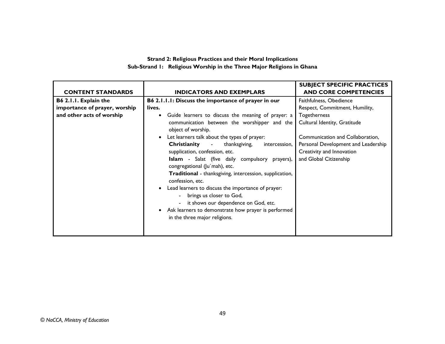#### **Strand 2: Religious Practices and their Moral Implications Sub-Strand 1: Religious Worship in the Three Major Religions in Ghana**

|                               |                                                                             | <b>SUBJECT SPECIFIC PRACTICES</b>   |
|-------------------------------|-----------------------------------------------------------------------------|-------------------------------------|
| <b>CONTENT STANDARDS</b>      | <b>INDICATORS AND EXEMPLARS</b>                                             | <b>AND CORE COMPETENCIES</b>        |
| B6 2.1.1. Explain the         | B6 2.1.1.1: Discuss the importance of prayer in our                         | Faithfulness, Obedience             |
| importance of prayer, worship | lives.                                                                      | Respect, Commitment, Humility,      |
| and other acts of worship     | Guide learners to discuss the meaning of prayer: a<br>$\bullet$             | Togetherness                        |
|                               | communication between the worshipper and the<br>object of worship.          | Cultural Identity, Gratitude        |
|                               | Let learners talk about the types of prayer:<br>$\bullet$                   | Communication and Collaboration,    |
|                               | Christianity<br>thanksgiving,<br>$\sim$<br>intercession,                    | Personal Development and Leadership |
|                               | supplication, confession, etc.                                              | Creativity and Innovation           |
|                               | Islam - Salat (five daily compulsory prayers),                              | and Global Citizenship              |
|                               | congregational (Ju'mah), etc.                                               |                                     |
|                               | Traditional - thanksgiving, intercession, supplication,<br>confession, etc. |                                     |
|                               | Lead learners to discuss the importance of prayer:<br>$\bullet$             |                                     |
|                               | - brings us closer to God,                                                  |                                     |
|                               | it shows our dependence on God, etc.                                        |                                     |
|                               | Ask learners to demonstrate how prayer is performed<br>$\bullet$            |                                     |
|                               | in the three major religions.                                               |                                     |
|                               |                                                                             |                                     |
|                               |                                                                             |                                     |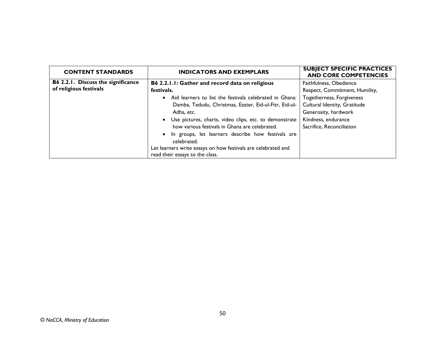| <b>CONTENT STANDARDS</b>           | <b>INDICATORS AND EXEMPLARS</b>                                      | <b>SUBJECT SPECIFIC PRACTICES</b><br><b>AND CORE COMPETENCIES</b> |
|------------------------------------|----------------------------------------------------------------------|-------------------------------------------------------------------|
| B6 2.2.1. Discuss the significance | B6 2.2.1.1: Gather and record data on religious                      | Faithfulness, Obedience                                           |
| of religious festivals             | festivals.                                                           | Respect, Commitment, Humility,                                    |
|                                    | Aid learners to list the festivals celebrated in Ghana:<br>$\bullet$ | Togetherness, Forgiveness                                         |
|                                    | Damba, Tedudu, Christmas, Easter, Eid-ul-Fitr, Eid-ul-               | Cultural Identity, Gratitude                                      |
|                                    | Adha, etc.                                                           | Generosity, hardwork                                              |
|                                    | • Use pictures, charts, video clips, etc. to demonstrate             | Kindness, endurance                                               |
|                                    | how various festivals in Ghana are celebrated.                       | Sacrifice, Reconciliation                                         |
|                                    | • In groups, let learners describe how festivals are<br>celebrated.  |                                                                   |
|                                    | Let learners write essays on how festivals are celebrated and        |                                                                   |
|                                    | read their essays to the class.                                      |                                                                   |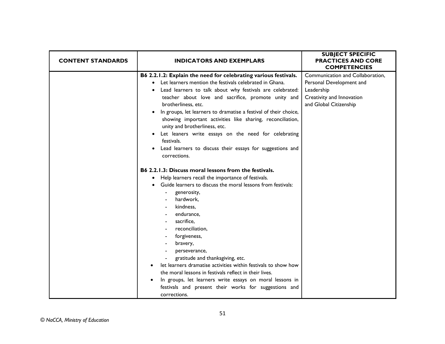| <b>CONTENT STANDARDS</b> | <b>INDICATORS AND EXEMPLARS</b>                                                                                                                                                                                                                                                                                                                                                                                                                                                                                                                                                                                                    | <b>SUBJECT SPECIFIC</b><br><b>PRACTICES AND CORE</b><br><b>COMPETENCIES</b>                                                       |
|--------------------------|------------------------------------------------------------------------------------------------------------------------------------------------------------------------------------------------------------------------------------------------------------------------------------------------------------------------------------------------------------------------------------------------------------------------------------------------------------------------------------------------------------------------------------------------------------------------------------------------------------------------------------|-----------------------------------------------------------------------------------------------------------------------------------|
|                          | B6 2.2.1.2: Explain the need for celebrating various festivals.<br>Let learners mention the festivals celebrated in Ghana.<br>Lead learners to talk about why festivals are celebrated:<br>teacher about love and sacrifice, promote unity and<br>brotherliness, etc.<br>In groups, let learners to dramatise a festival of their choice,<br>$\bullet$<br>showing important activities like sharing, reconciliation,<br>unity and brotherliness, etc.<br>Let leaners write essays on the need for celebrating<br>$\bullet$<br>festivals.<br>Lead learners to discuss their essays for suggestions and<br>$\bullet$<br>corrections. | Communication and Collaboration,<br>Personal Development and<br>Leadership<br>Creativity and Innovation<br>and Global Citizenship |
|                          | <b>B6 2.2.1.3: Discuss moral lessons from the festivals.</b><br>Help learners recall the importance of festivals.<br>٠<br>Guide learners to discuss the moral lessons from festivals:<br>generosity,<br>hardwork,<br>kindness,<br>endurance,<br>sacrifice,<br>reconciliation,<br>forgiveness,<br>bravery,<br>perseverance,<br>gratitude and thanksgiving, etc.<br>let learners dramatise activities within festivals to show how<br>the moral lessons in festivals reflect in their lives.<br>In groups, let learners write essays on moral lessons in<br>festivals and present their works for suggestions and<br>corrections.    |                                                                                                                                   |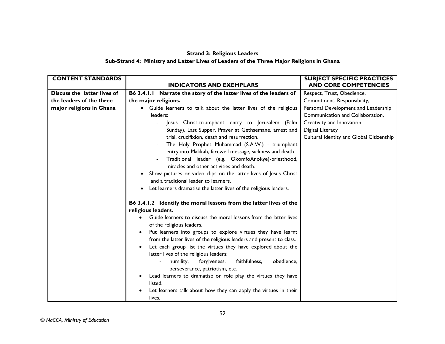# **Strand 3: Religious Leaders**

#### **Sub-Strand 4: Ministry and Latter Lives of Leaders of the Three Major Religions in Ghana**

| <b>CONTENT STANDARDS</b>    |                                                                      | <b>SUBJECT SPECIFIC PRACTICES</b>        |
|-----------------------------|----------------------------------------------------------------------|------------------------------------------|
|                             | <b>INDICATORS AND EXEMPLARS</b>                                      | <b>AND CORE COMPETENCIES</b>             |
| Discuss the latter lives of | B6 3.4.1.1 Narrate the story of the latter lives of the leaders of   | Respect, Trust, Obedience,               |
| the leaders of the three    | the major religions.                                                 | Commitment, Responsibility,              |
| major religions in Ghana    | Guide learners to talk about the latter lives of the religious       | Personal Development and Leadership      |
|                             | leaders:                                                             | Communication and Collaboration,         |
|                             | Jesus Christ-triumphant entry to Jerusalem (Palm                     | Creativity and Innovation                |
|                             | Sunday), Last Supper, Prayer at Gethsemane, arrest and               | Digital Literacy                         |
|                             | trial, crucifixion, death and resurrection.                          | Cultural Identity and Global Citizenship |
|                             | The Holy Prophet Muhammad (S.A.W.) - triumphant                      |                                          |
|                             | entry into Makkah, farewell message, sickness and death.             |                                          |
|                             | Traditional leader (e.g. OkomfoAnokye)-priesthood,                   |                                          |
|                             | miracles and other activities and death.                             |                                          |
|                             | Show pictures or video clips on the latter lives of Jesus Christ     |                                          |
|                             | and a traditional leader to learners.                                |                                          |
|                             | Let learners dramatise the latter lives of the religious leaders.    |                                          |
|                             | B6 3.4.1.2 Identify the moral lessons from the latter lives of the   |                                          |
|                             | religious leaders.                                                   |                                          |
|                             | Guide learners to discuss the moral lessons from the latter lives    |                                          |
|                             | of the religious leaders.                                            |                                          |
|                             | Put learners into groups to explore virtues they have learnt         |                                          |
|                             | from the latter lives of the religious leaders and present to class. |                                          |
|                             | Let each group list the virtues they have explored about the         |                                          |
|                             | latter lives of the religious leaders:                               |                                          |
|                             | faithfulness,<br>obedience,<br>humility,<br>forgiveness,             |                                          |
|                             | perseverance, patriotism, etc.                                       |                                          |
|                             | Lead learners to dramatise or role play the virtues they have        |                                          |
|                             | listed.                                                              |                                          |
|                             | Let learners talk about how they can apply the virtues in their      |                                          |
|                             | lives.                                                               |                                          |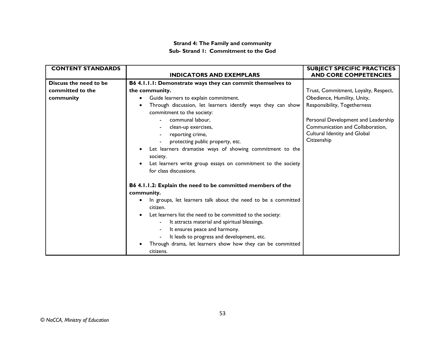#### **Strand 4: The Family and community Sub- Strand 1: Commitment to the God**

| <b>CONTENT STANDARDS</b> |                                                               | <b>SUBJECT SPECIFIC PRACTICES</b>    |
|--------------------------|---------------------------------------------------------------|--------------------------------------|
|                          | <b>INDICATORS AND EXEMPLARS</b>                               | <b>AND CORE COMPETENCIES</b>         |
| Discuss the need to be   | B6 4.1.1.1: Demonstrate ways they can commit themselves to    |                                      |
| committed to the         | the community.                                                | Trust, Commitment, Loyalty, Respect, |
| community                | Guide learners to explain commitment.<br>$\bullet$            | Obedience, Humility, Unity,          |
|                          | Through discussion, let learners identify ways they can show  | Responsibility, Togetherness         |
|                          | commitment to the society:                                    |                                      |
|                          | communal labour,                                              | Personal Development and Leadership  |
|                          | clean-up exercises,                                           | Communication and Collaboration,     |
|                          | reporting crime,                                              | Cultural Identity and Global         |
|                          | protecting public property, etc.                              | Citizenship                          |
|                          | Let learners dramatise ways of showing commitment to the      |                                      |
|                          | society.                                                      |                                      |
|                          | Let learners write group essays on commitment to the society  |                                      |
|                          | for class discussions.                                        |                                      |
|                          | B6 4.1.1.2: Explain the need to be committed members of the   |                                      |
|                          | community.                                                    |                                      |
|                          | In groups, let learners talk about the need to be a committed |                                      |
|                          | citizen.                                                      |                                      |
|                          | Let learners list the need to be committed to the society:    |                                      |
|                          | It attracts material and spiritual blessings.                 |                                      |
|                          | It ensures peace and harmony.                                 |                                      |
|                          | It leads to progress and development, etc.                    |                                      |
|                          | Through drama, let learners show how they can be committed    |                                      |
|                          | citizens.                                                     |                                      |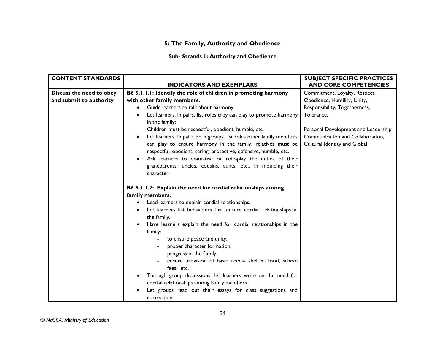# **5: The Family, Authority and Obedience**

### **Sub- Strands 1: Authority and Obedience**

| <b>CONTENT STANDARDS</b> |                                                                                                                                                                                                                      | <b>SUBJECT SPECIFIC PRACTICES</b>   |
|--------------------------|----------------------------------------------------------------------------------------------------------------------------------------------------------------------------------------------------------------------|-------------------------------------|
|                          | <b>INDICATORS AND EXEMPLARS</b>                                                                                                                                                                                      | <b>AND CORE COMPETENCIES</b>        |
| Discuss the need to obey | B6 5.1.1.1: Identify the role of children in promoting harmony                                                                                                                                                       | Commitment, Loyalty, Respect,       |
| and submit to authority  | with other family members.                                                                                                                                                                                           | Obedience, Humility, Unity,         |
|                          | Guide learners to talk about harmony.<br>$\bullet$                                                                                                                                                                   | Responsibility, Togetherness,       |
|                          | Let learners, in pairs, list roles they can play to promote harmony<br>$\bullet$<br>in the family:                                                                                                                   | Tolerance.                          |
|                          | Children must be respectful, obedient, humble, etc.                                                                                                                                                                  | Personal Development and Leadership |
|                          | Let learners, in pairs or in groups, list roles other family members<br>$\bullet$                                                                                                                                    | Communication and Collaboration,    |
|                          | can play to ensure harmony in the family: relatives must be                                                                                                                                                          | Cultural Identity and Global        |
|                          | respectful, obedient, caring, protective, defensive, humble, etc.                                                                                                                                                    |                                     |
|                          | Ask learners to dramatise or role-play the duties of their                                                                                                                                                           |                                     |
|                          | grandparents, uncles, cousins, aunts, etc., in moulding their                                                                                                                                                        |                                     |
|                          | character.                                                                                                                                                                                                           |                                     |
|                          | B6 5.1.1.2: Explain the need for cordial relationships among<br>family members.<br>Lead learners to explain cordial relationships.<br>$\bullet$<br>Let learners list behaviours that ensure cordial relationships in |                                     |
|                          | the family.                                                                                                                                                                                                          |                                     |
|                          | Have learners explain the need for cordial relationships in the<br>$\bullet$                                                                                                                                         |                                     |
|                          | family:                                                                                                                                                                                                              |                                     |
|                          | to ensure peace and unity,<br>proper character formation,                                                                                                                                                            |                                     |
|                          | progress in the family,                                                                                                                                                                                              |                                     |
|                          | ensure provision of basic needs- shelter, food, school                                                                                                                                                               |                                     |
|                          | fees, etc.                                                                                                                                                                                                           |                                     |
|                          | Through group discussions, let learners write on the need for                                                                                                                                                        |                                     |
|                          | cordial relationships among family members.                                                                                                                                                                          |                                     |
|                          | Let groups read out their essays for class suggestions and                                                                                                                                                           |                                     |
|                          | corrections.                                                                                                                                                                                                         |                                     |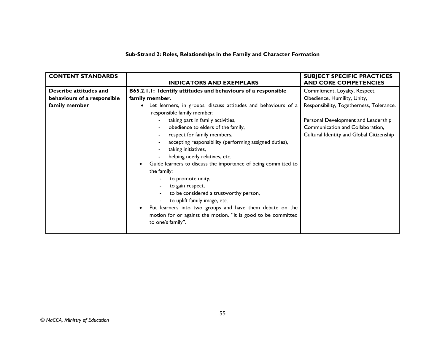### **Sub-Strand 2: Roles, Relationships in the Family and Character Formation**

| <b>CONTENT STANDARDS</b>    |                                                                | <b>SUBJECT SPECIFIC PRACTICES</b>        |
|-----------------------------|----------------------------------------------------------------|------------------------------------------|
|                             | <b>INDICATORS AND EXEMPLARS</b>                                | <b>AND CORE COMPETENCIES</b>             |
| Describe attitudes and      | B65.2.1.1: Identify attitudes and behaviours of a responsible  | Commitment, Loyalty, Respect,            |
| behaviours of a responsible | family member.                                                 | Obedience, Humility, Unity,              |
| family member               | Let learners, in groups, discuss attitudes and behaviours of a | Responsibility, Togetherness, Tolerance. |
|                             | responsible family member:                                     |                                          |
|                             | taking part in family activities,                              | Personal Development and Leadership      |
|                             | obedience to elders of the family,                             | Communication and Collaboration,         |
|                             | respect for family members,                                    | Cultural Identity and Global Citizenship |
|                             | accepting responsibility (performing assigned duties),         |                                          |
|                             | taking initiatives,                                            |                                          |
|                             | helping needy relatives, etc.                                  |                                          |
|                             | Guide learners to discuss the importance of being committed to |                                          |
|                             | the family:                                                    |                                          |
|                             | to promote unity,                                              |                                          |
|                             | to gain respect,                                               |                                          |
|                             | to be considered a trustworthy person,                         |                                          |
|                             | to uplift family image, etc.                                   |                                          |
|                             | Put learners into two groups and have them debate on the       |                                          |
|                             | motion for or against the motion, "It is good to be committed  |                                          |
|                             | to one's family".                                              |                                          |
|                             |                                                                |                                          |